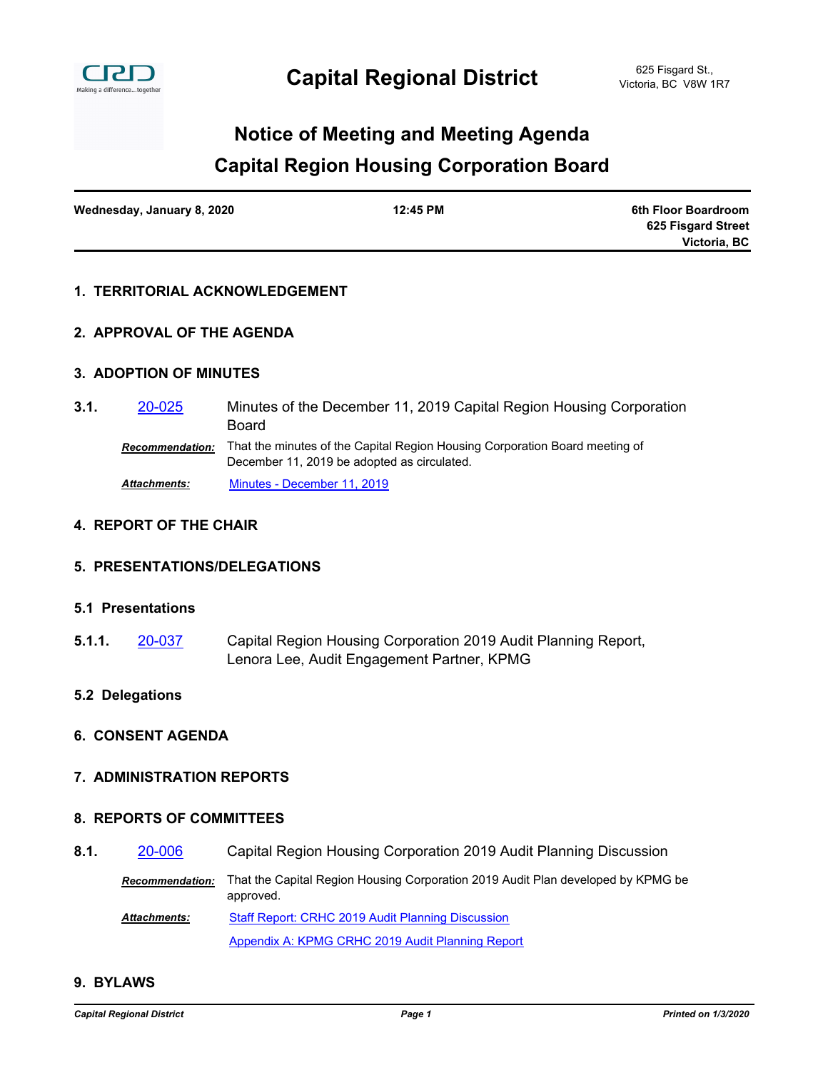

### **Capital Region Housing Corporation Board Notice of Meeting and Meeting Agenda**

| Wednesday, January 8, 2020 | 12:45 PM | 6th Floor Boardroom |
|----------------------------|----------|---------------------|
|                            |          | 625 Fisgard Street  |
|                            |          | Victoria, BC        |

### **1. TERRITORIAL ACKNOWLEDGEMENT**

### **2. APPROVAL OF THE AGENDA**

### **3. ADOPTION OF MINUTES**

Minutes of the December 11, 2019 Capital Region Housing Corporation Board **3.1.** [20-025](http://crd.ca.legistar.com/gateway.aspx?m=l&id=/matter.aspx?key=6159) *Recommendation:* That the minutes of the Capital Region Housing Corporation Board meeting of December 11, 2019 be adopted as circulated. *Attachments:* [Minutes - December 11, 2019](http://crd.ca.legistar.com/gateway.aspx?M=F&ID=aeb775e7-470a-4d85-bfdd-de131aec7e5a.pdf)

### **4. REPORT OF THE CHAIR**

### **5. PRESENTATIONS/DELEGATIONS**

### **5.1 Presentations**

Capital Region Housing Corporation 2019 Audit Planning Report, Lenora Lee, Audit Engagement Partner, KPMG **5.1.1.** [20-037](http://crd.ca.legistar.com/gateway.aspx?m=l&id=/matter.aspx?key=6171)

### **5.2 Delegations**

### **6. CONSENT AGENDA**

### **7. ADMINISTRATION REPORTS**

### **8. REPORTS OF COMMITTEES**

**8.1.** [20-006](http://crd.ca.legistar.com/gateway.aspx?m=l&id=/matter.aspx?key=6140) Capital Region Housing Corporation 2019 Audit Planning Discussion

*Recommendation:* That the Capital Region Housing Corporation 2019 Audit Plan developed by KPMG be approved.

[Staff Report: CRHC 2019 Audit Planning Discussion](http://crd.ca.legistar.com/gateway.aspx?M=F&ID=37bffe70-d560-46ef-b01d-91ddecb368e6.pdf) [Appendix A: KPMG CRHC 2019 Audit Planning Report](http://crd.ca.legistar.com/gateway.aspx?M=F&ID=9860fbb0-a50b-4f7e-8a63-d8c91898a9a3.pdf) *Attachments:*

### **9. BYLAWS**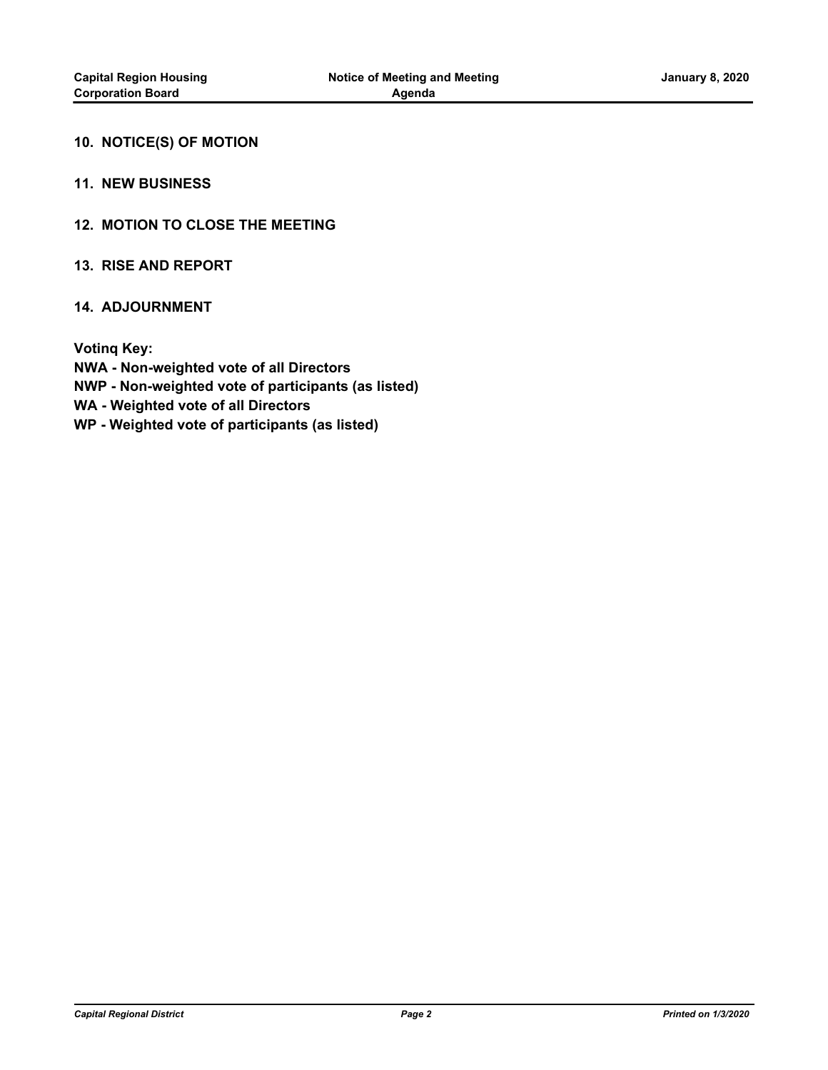### **10. NOTICE(S) OF MOTION**

### **11. NEW BUSINESS**

### **12. MOTION TO CLOSE THE MEETING**

### **13. RISE AND REPORT**

### **14. ADJOURNMENT**

**Votinq Key: NWA - Non-weighted vote of all Directors NWP - Non-weighted vote of participants (as listed) WA - Weighted vote of all Directors WP - Weighted vote of participants (as listed)**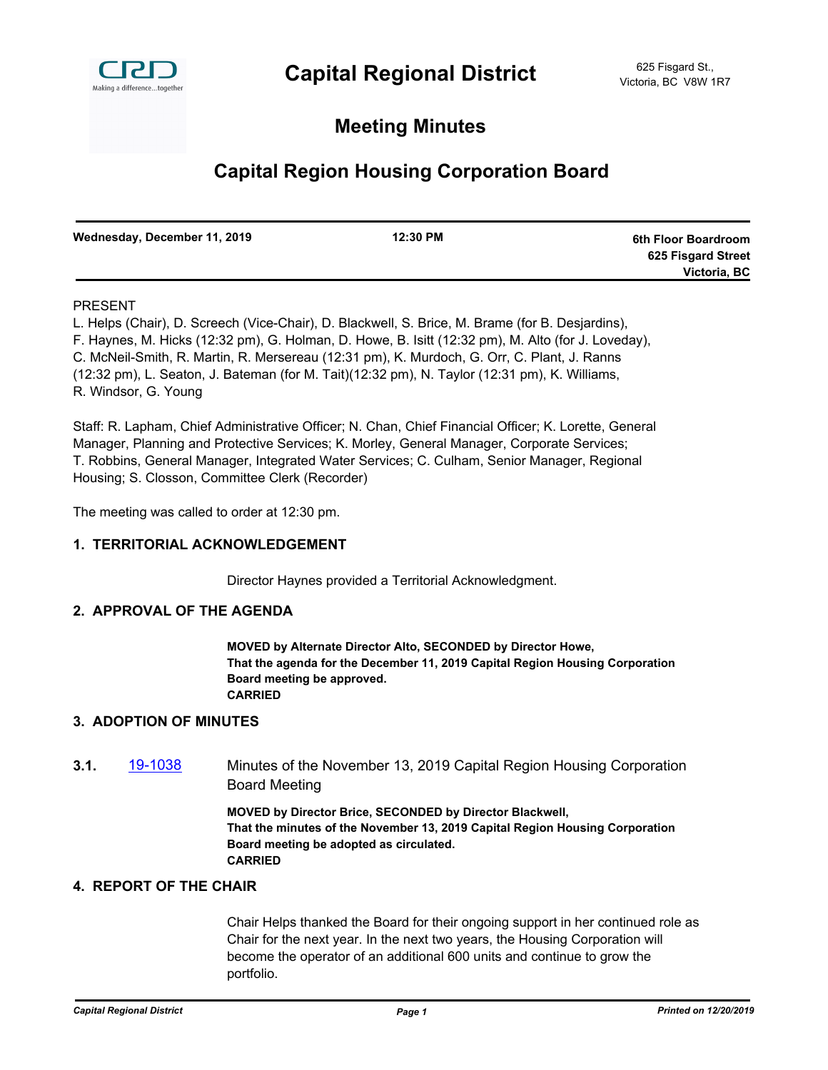

### **Meeting Minutes**

### **Capital Region Housing Corporation Board**

| Wednesday, December 11, 2019 | 12:30 PM | 6th Floor Boardroom |
|------------------------------|----------|---------------------|
|                              |          | 625 Fisgard Street  |
|                              |          | Victoria, BC        |

### PRESENT

L. Helps (Chair), D. Screech (Vice-Chair), D. Blackwell, S. Brice, M. Brame (for B. Desjardins), F. Haynes, M. Hicks (12:32 pm), G. Holman, D. Howe, B. Isitt (12:32 pm), M. Alto (for J. Loveday), C. McNeil-Smith, R. Martin, R. Mersereau (12:31 pm), K. Murdoch, G. Orr, C. Plant, J. Ranns (12:32 pm), L. Seaton, J. Bateman (for M. Tait)(12:32 pm), N. Taylor (12:31 pm), K. Williams, R. Windsor, G. Young

Staff: R. Lapham, Chief Administrative Officer; N. Chan, Chief Financial Officer; K. Lorette, General Manager, Planning and Protective Services; K. Morley, General Manager, Corporate Services; T. Robbins, General Manager, Integrated Water Services; C. Culham, Senior Manager, Regional Housing; S. Closson, Committee Clerk (Recorder)

The meeting was called to order at 12:30 pm.

### **1. TERRITORIAL ACKNOWLEDGEMENT**

Director Haynes provided a Territorial Acknowledgment.

### **2. APPROVAL OF THE AGENDA**

**MOVED by Alternate Director Alto, SECONDED by Director Howe, That the agenda for the December 11, 2019 Capital Region Housing Corporation Board meeting be approved. CARRIED**

### **3. ADOPTION OF MINUTES**

**3.1.** [19-1038](http://crd.ca.legistar.com/gateway.aspx?m=l&id=/matter.aspx?key=6127) Minutes of the November 13, 2019 Capital Region Housing Corporation Board Meeting

> **MOVED by Director Brice, SECONDED by Director Blackwell, That the minutes of the November 13, 2019 Capital Region Housing Corporation Board meeting be adopted as circulated. CARRIED**

### **4. REPORT OF THE CHAIR**

Chair Helps thanked the Board for their ongoing support in her continued role as Chair for the next year. In the next two years, the Housing Corporation will become the operator of an additional 600 units and continue to grow the portfolio.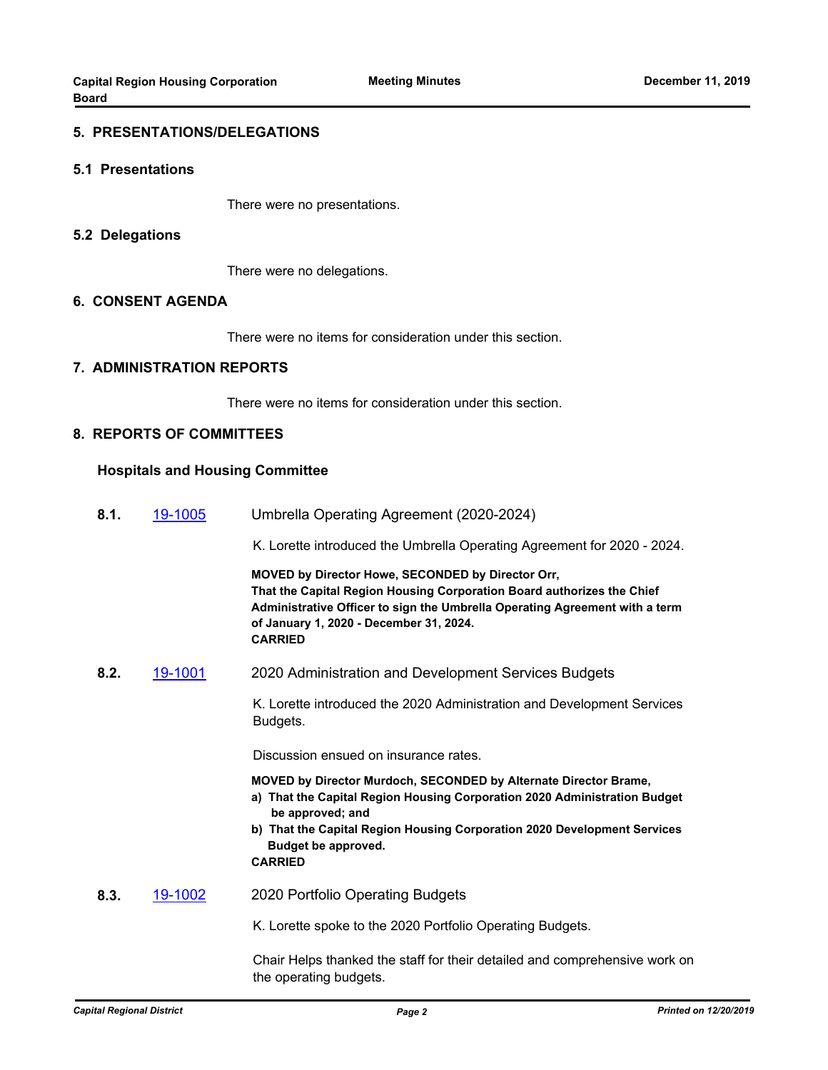#### **5. PRESENTATIONS/DELEGATIONS**

#### **5.1 Presentations**

There were no presentations.

#### **5.2 Delegations**

There were no delegations.

### **6. CONSENT AGENDA**

There were no items for consideration under this section.

#### **7. ADMINISTRATION REPORTS**

There were no items for consideration under this section.

### **8. REPORTS OF COMMITTEES**

#### **Hospitals and Housing Committee**

**8.1.** [19-1005](http://crd.ca.legistar.com/gateway.aspx?m=l&id=/matter.aspx?key=6094) Umbrella Operating Agreement (2020-2024)

K. Lorette introduced the Umbrella Operating Agreement for 2020 - 2024.

**MOVED by Director Howe, SECONDED by Director Orr, That the Capital Region Housing Corporation Board authorizes the Chief Administrative Officer to sign the Umbrella Operating Agreement with a term of January 1, 2020 - December 31, 2024. CARRIED**

**8.2.** [19-1001](http://crd.ca.legistar.com/gateway.aspx?m=l&id=/matter.aspx?key=6090) 2020 Administration and Development Services Budgets

 K. Lorette introduced the 2020 Administration and Development Services Budgets.

Discussion ensued on insurance rates.

**MOVED by Director Murdoch, SECONDED by Alternate Director Brame,**

- **a) That the Capital Region Housing Corporation 2020 Administration Budget be approved; and**
- **b) That the Capital Region Housing Corporation 2020 Development Services Budget be approved.**

**CARRIED**

**8.3.** [19-1002](http://crd.ca.legistar.com/gateway.aspx?m=l&id=/matter.aspx?key=6091) 2020 Portfolio Operating Budgets

K. Lorette spoke to the 2020 Portfolio Operating Budgets.

 Chair Helps thanked the staff for their detailed and comprehensive work on the operating budgets.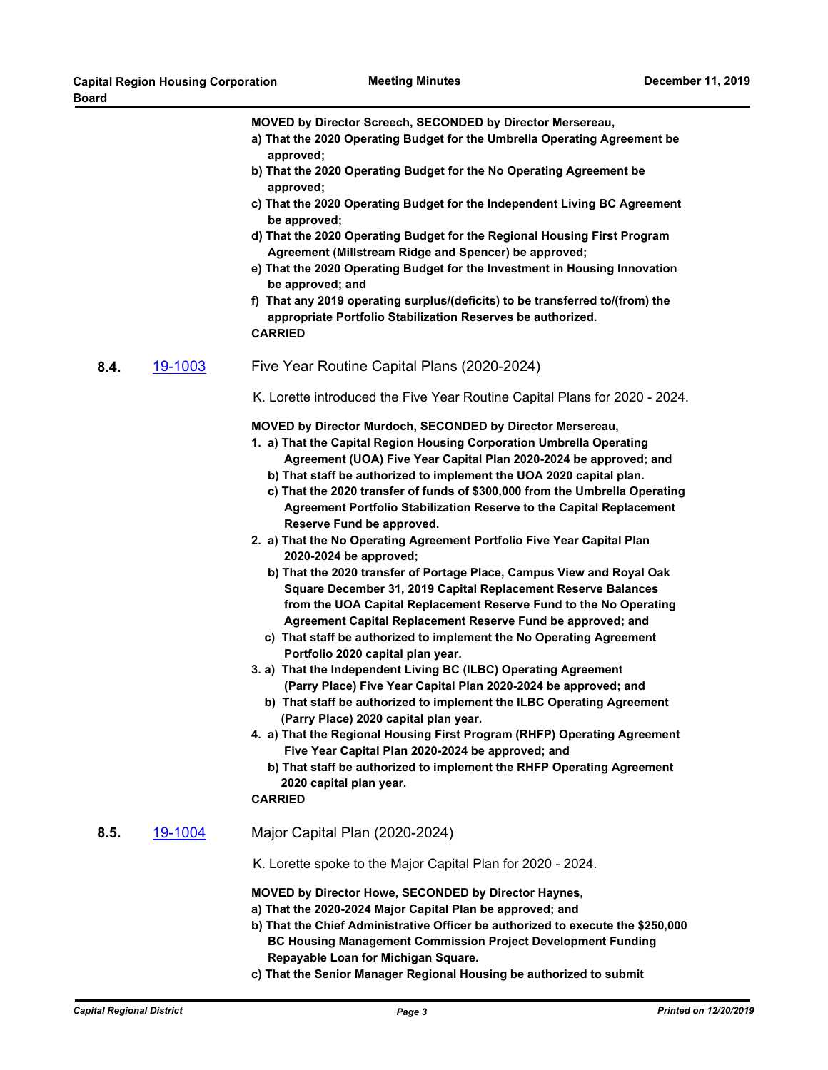**MOVED by Director Screech, SECONDED by Director Mersereau,**

- **a) That the 2020 Operating Budget for the Umbrella Operating Agreement be approved;**
- **b) That the 2020 Operating Budget for the No Operating Agreement be approved;**
- **c) That the 2020 Operating Budget for the Independent Living BC Agreement be approved;**
- **d) That the 2020 Operating Budget for the Regional Housing First Program Agreement (Millstream Ridge and Spencer) be approved;**
- **e) That the 2020 Operating Budget for the Investment in Housing Innovation be approved; and**
- **f) That any 2019 operating surplus/(deficits) to be transferred to/(from) the appropriate Portfolio Stabilization Reserves be authorized. CARRIED**
- **8.4.** [19-1003](http://crd.ca.legistar.com/gateway.aspx?m=l&id=/matter.aspx?key=6092) Five Year Routine Capital Plans (2020-2024)
	- K. Lorette introduced the Five Year Routine Capital Plans for 2020 2024.

**MOVED by Director Murdoch, SECONDED by Director Mersereau,**

- **1. a) That the Capital Region Housing Corporation Umbrella Operating Agreement (UOA) Five Year Capital Plan 2020-2024 be approved; and**
	- **b) That staff be authorized to implement the UOA 2020 capital plan.**
	- **c) That the 2020 transfer of funds of \$300,000 from the Umbrella Operating Agreement Portfolio Stabilization Reserve to the Capital Replacement Reserve Fund be approved.**
- **2. a) That the No Operating Agreement Portfolio Five Year Capital Plan 2020-2024 be approved;**
	- **b) That the 2020 transfer of Portage Place, Campus View and Royal Oak Square December 31, 2019 Capital Replacement Reserve Balances from the UOA Capital Replacement Reserve Fund to the No Operating Agreement Capital Replacement Reserve Fund be approved; and**
	- **c) That staff be authorized to implement the No Operating Agreement Portfolio 2020 capital plan year.**
- **3. a) That the Independent Living BC (ILBC) Operating Agreement (Parry Place) Five Year Capital Plan 2020-2024 be approved; and**
	- **b) That staff be authorized to implement the ILBC Operating Agreement (Parry Place) 2020 capital plan year.**
- **4. a) That the Regional Housing First Program (RHFP) Operating Agreement Five Year Capital Plan 2020-2024 be approved; and**
	- **b) That staff be authorized to implement the RHFP Operating Agreement 2020 capital plan year.**

**CARRIED**

**8.5.** [19-1004](http://crd.ca.legistar.com/gateway.aspx?m=l&id=/matter.aspx?key=6093) Major Capital Plan (2020-2024)

K. Lorette spoke to the Major Capital Plan for 2020 - 2024.

**MOVED by Director Howe, SECONDED by Director Haynes,**

- **a) That the 2020-2024 Major Capital Plan be approved; and**
- **b) That the Chief Administrative Officer be authorized to execute the \$250,000 BC Housing Management Commission Project Development Funding Repayable Loan for Michigan Square.**
- **c) That the Senior Manager Regional Housing be authorized to submit**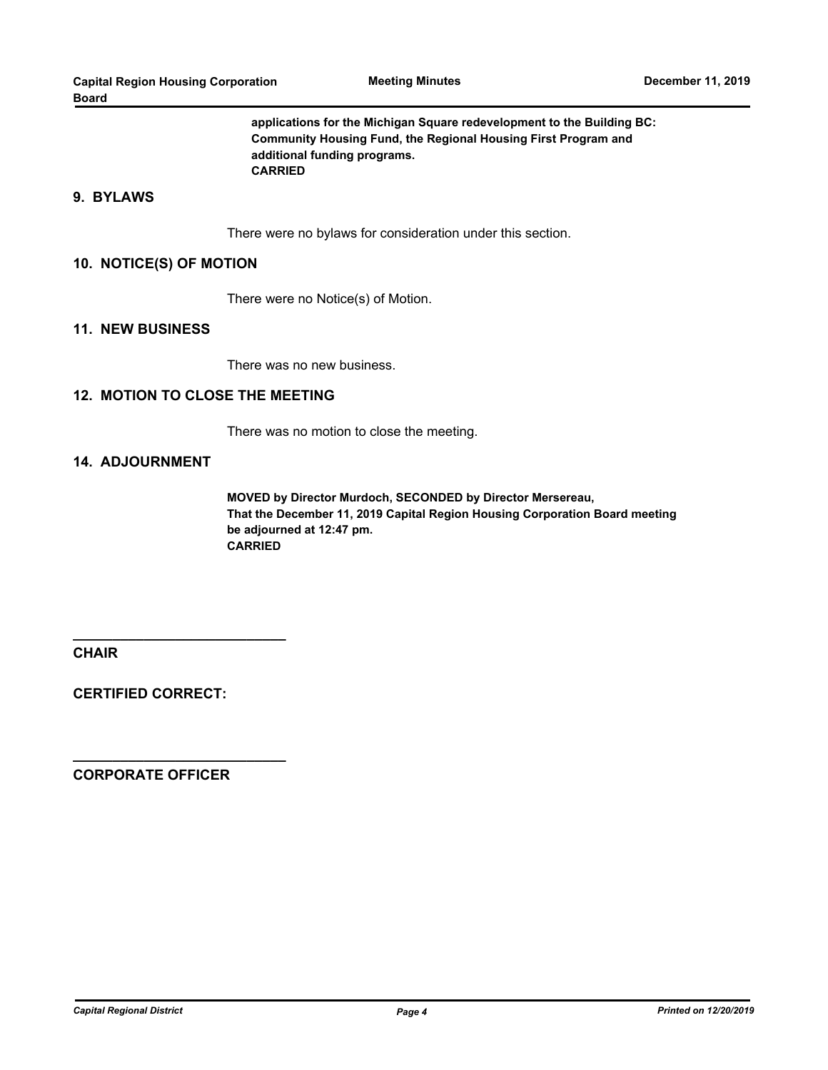**applications for the Michigan Square redevelopment to the Building BC: Community Housing Fund, the Regional Housing First Program and additional funding programs. CARRIED**

### **9. BYLAWS**

There were no bylaws for consideration under this section.

#### **10. NOTICE(S) OF MOTION**

There were no Notice(s) of Motion.

#### **11. NEW BUSINESS**

There was no new business.

### **12. MOTION TO CLOSE THE MEETING**

There was no motion to close the meeting.

### **14. ADJOURNMENT**

**MOVED by Director Murdoch, SECONDED by Director Mersereau, That the December 11, 2019 Capital Region Housing Corporation Board meeting be adjourned at 12:47 pm. CARRIED**

**CHAIR**

**CERTIFIED CORRECT:**

**\_\_\_\_\_\_\_\_\_\_\_\_\_\_\_\_\_\_\_\_\_\_\_\_\_\_\_**

**\_\_\_\_\_\_\_\_\_\_\_\_\_\_\_\_\_\_\_\_\_\_\_\_\_\_\_**

**CORPORATE OFFICER**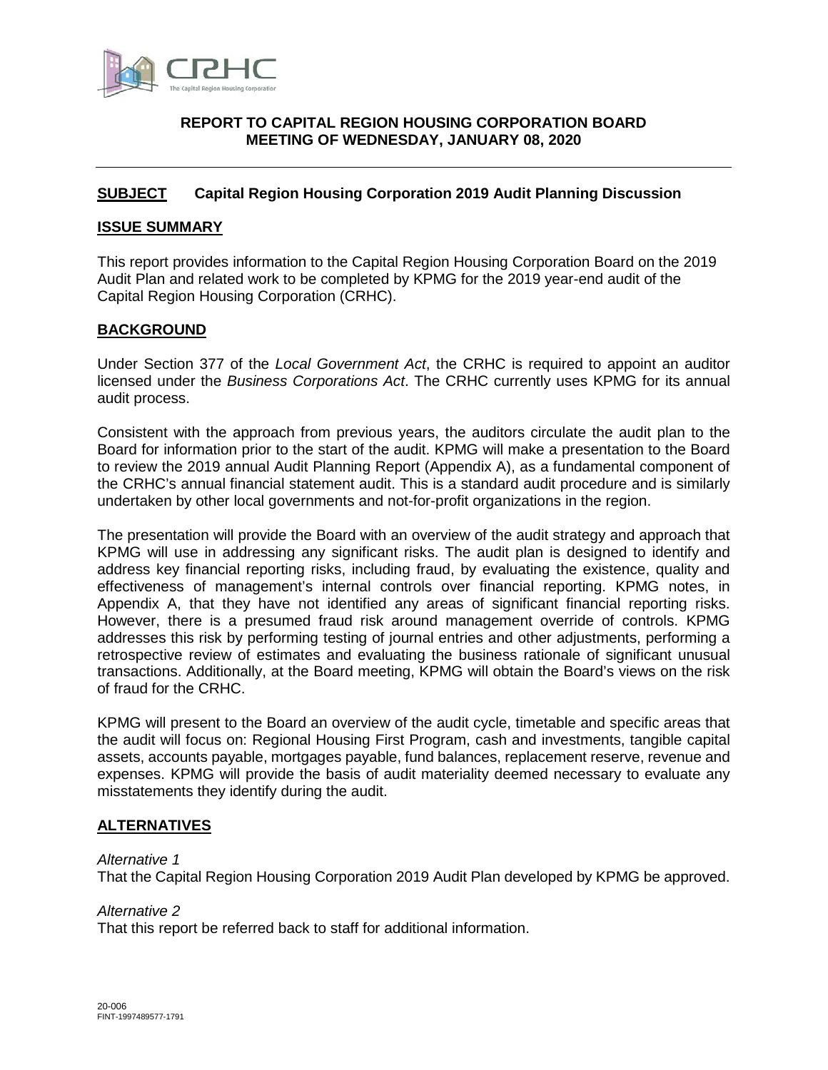

### <span id="page-6-0"></span>**[REPORT](#page-6-0) TO CAPITAL REGION HOUSING CORPORATION BOARD MEETING OF WEDNESDAY, JANUARY 08, 2020**

### <span id="page-6-1"></span>**[SUBJECT](#page-6-1) Capital Region Housing Corporation 2019 Audit Planning Discussion**

### <span id="page-6-2"></span>**[ISSUE SUMMARY](#page-6-2)**

This report provides information to the Capital Region Housing Corporation Board on the 2019 Audit Plan and related work to be completed by KPMG for the 2019 year-end audit of the Capital Region Housing Corporation (CRHC).

### <span id="page-6-3"></span>**[BACKGROUND](#page-6-3)**

Under Section 377 of the *Local Government Act*, the CRHC is required to appoint an auditor licensed under the *Business Corporations Act*. The CRHC currently uses KPMG for its annual audit process.

Consistent with the approach from previous years, the auditors circulate the audit plan to the Board for information prior to the start of the audit. KPMG will make a presentation to the Board to review the 2019 annual Audit Planning Report (Appendix A), as a fundamental component of the CRHC's annual financial statement audit. This is a standard audit procedure and is similarly undertaken by other local governments and not-for-profit organizations in the region.

The presentation will provide the Board with an overview of the audit strategy and approach that KPMG will use in addressing any significant risks. The audit plan is designed to identify and address key financial reporting risks, including fraud, by evaluating the existence, quality and effectiveness of management's internal controls over financial reporting. KPMG notes, in Appendix A, that they have not identified any areas of significant financial reporting risks. However, there is a presumed fraud risk around management override of controls. KPMG addresses this risk by performing testing of journal entries and other adjustments, performing a retrospective review of estimates and evaluating the business rationale of significant unusual transactions. Additionally, at the Board meeting, KPMG will obtain the Board's views on the risk of fraud for the CRHC.

KPMG will present to the Board an overview of the audit cycle, timetable and specific areas that the audit will focus on: Regional Housing First Program, cash and investments, tangible capital assets, accounts payable, mortgages payable, fund balances, replacement reserve, revenue and expenses. KPMG will provide the basis of audit materiality deemed necessary to evaluate any misstatements they identify during the audit.

### <span id="page-6-4"></span>**[ALTERNATIVES](#page-6-4)**

### *Alternative 1*

<span id="page-6-6"></span>That the Capital Region Housing Corporation 2019 Audit Plan developed by KPMG be approved.

### *Alternative 2*

<span id="page-6-5"></span>That this report be referred back to staff for additional information.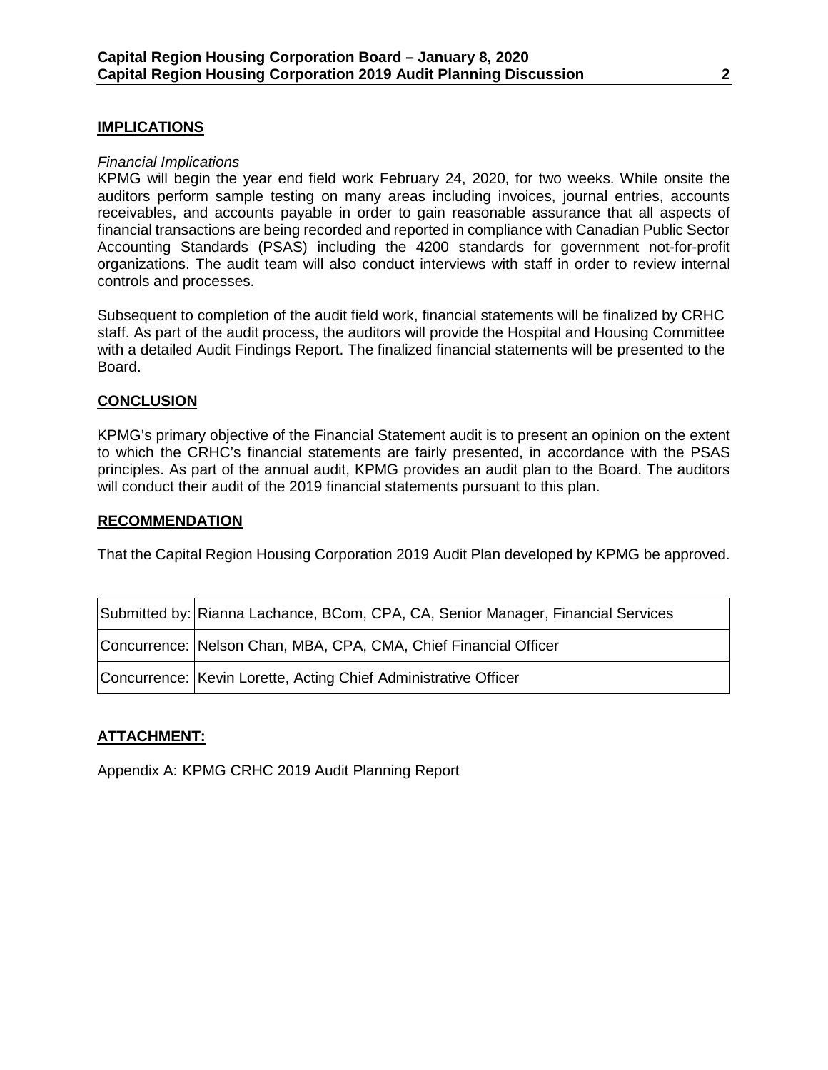### **[IMPLICATIONS](#page-6-5)**

### *Financial Implications*

KPMG will begin the year end field work February 24, 2020, for two weeks. While onsite the auditors perform sample testing on many areas including invoices, journal entries, accounts receivables, and accounts payable in order to gain reasonable assurance that all aspects of financial transactions are being recorded and reported in compliance with Canadian Public Sector Accounting Standards (PSAS) including the 4200 standards for government not-for-profit organizations. The audit team will also conduct interviews with staff in order to review internal controls and processes.

Subsequent to completion of the audit field work, financial statements will be finalized by CRHC staff. As part of the audit process, the auditors will provide the Hospital and Housing Committee with a detailed Audit Findings Report. The finalized financial statements will be presented to the Board.

### <span id="page-7-0"></span>**[CONCLUSION](#page-7-0)**

KPMG's primary objective of the Financial Statement audit is to present an opinion on the extent to which the CRHC's financial statements are fairly presented, in accordance with the PSAS principles. As part of the annual audit, KPMG provides an audit plan to the Board. The auditors will conduct their audit of the 2019 financial statements pursuant to this plan.

### **RECOMMENDATION**

[That the Capital Region Housing Corporation 2019 Audit Plan developed by KPMG be approved.](#page-6-6)

| Submitted by: Rianna Lachance, BCom, CPA, CA, Senior Manager, Financial Services |
|----------------------------------------------------------------------------------|
| Concurrence: Nelson Chan, MBA, CPA, CMA, Chief Financial Officer                 |
| Concurrence: Kevin Lorette, Acting Chief Administrative Officer                  |

### **ATTACHMENT:**

Appendix A: [KPMG CRHC 2019 Audit Planning Report](https://goto.crd.bc.ca/teams/cs/0550CRDBoards/2020-01-08CRHCBoardAppendixA-KPMG2019AuditPlanningReport.PDF)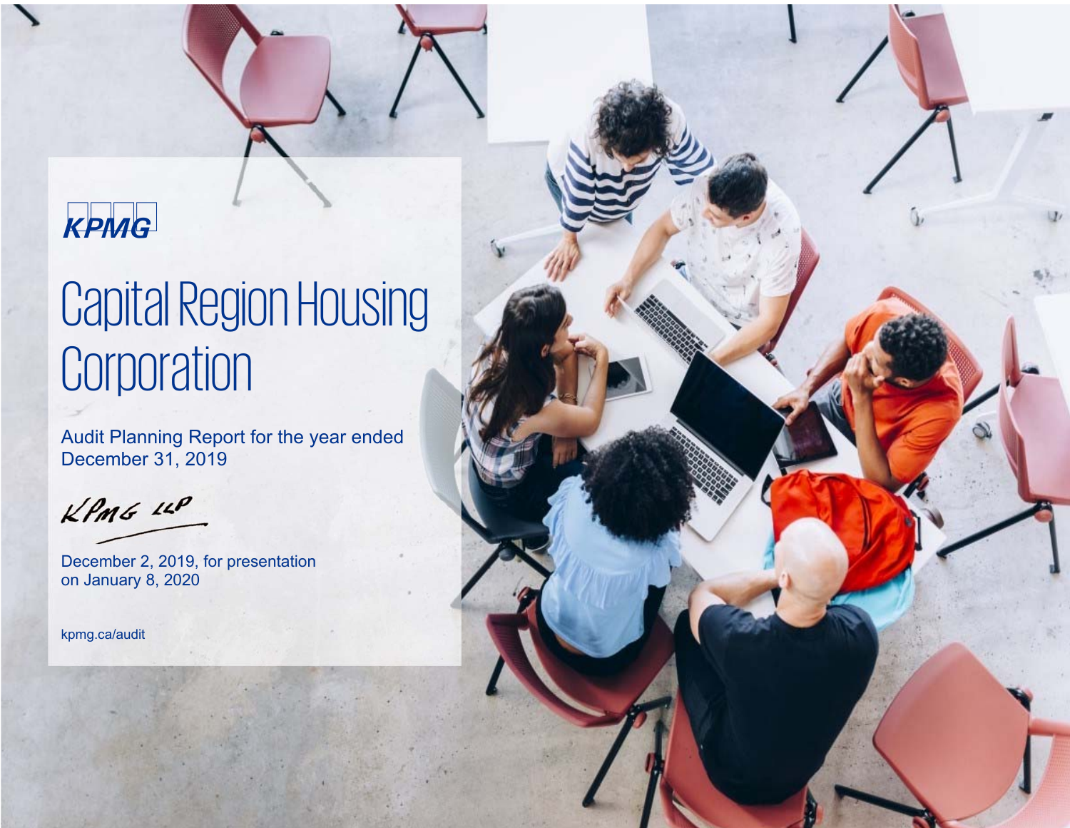### kpmg

# Capital Region Housing **Corporation**

Audit Planning Report for the year ended December 31, 2019

 $KPMG$  14P

December 2, 2019, for presentation on January 8, 2020

kpmg.ca/audit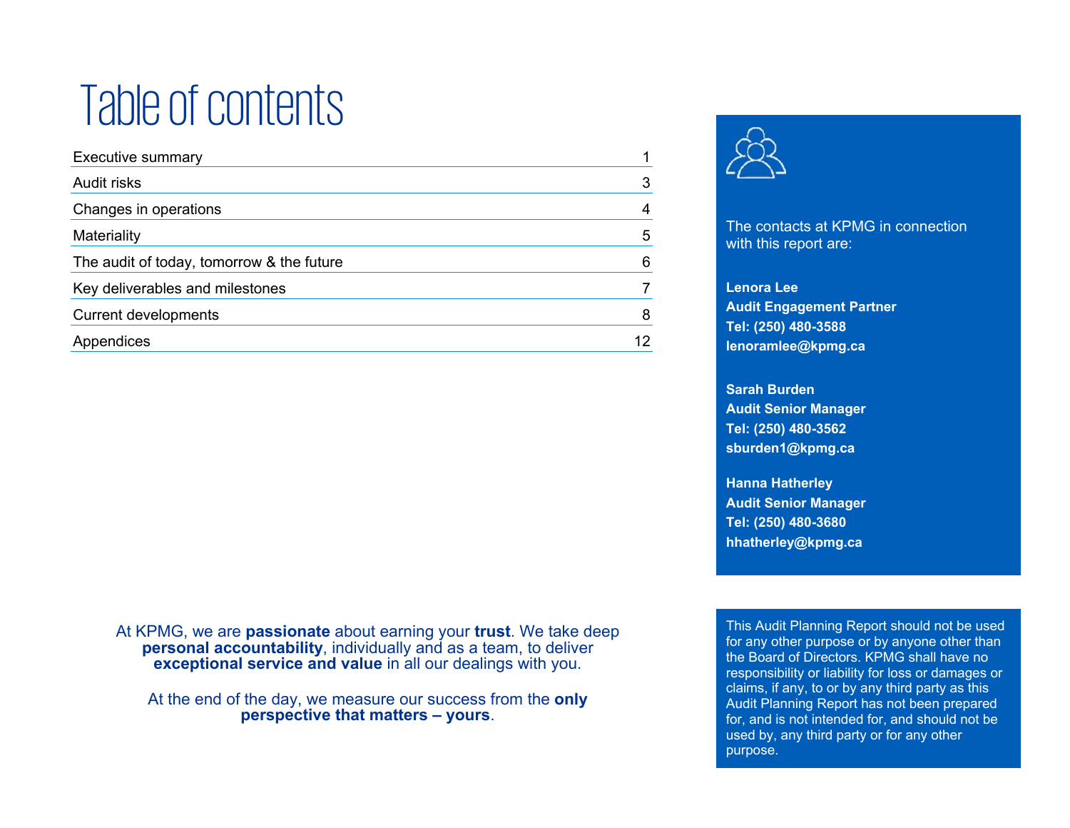# Table of contents

| <b>Executive summary</b>                  |                   |
|-------------------------------------------|-------------------|
| Audit risks                               | 3                 |
| Changes in operations                     | 4                 |
| Materiality                               | 5                 |
| The audit of today, tomorrow & the future | 6                 |
| Key deliverables and milestones           |                   |
| Current developments                      | 8                 |
| Appendices                                | $12 \overline{ }$ |
|                                           |                   |

At KPMG, we are **passionate** about earning your **trust**. We take deep **personal accountability**, individually and as a team, to deliver **exceptional service and value** in all our dealings with you.

At the end of the day, we measure our success from the **only perspective that matters – yours**.



The contacts at KPMG in connection with this report are:

**Lenora Lee Audit Engagement Partner Tel: (250) 480-3588 lenoramlee@kpmg.ca** 

**Sarah Burden Audit Senior Manager Tel: (250) 480-3562 sburden1@kpmg.ca** 

**Hanna Hatherley Audit Senior Manager Tel: (250) 480-3680 hhatherley@kpmg.ca** 

This Audit Planning Report should not be used for any other purpose or by anyone other than the Board of Directors. KPMG shall have no responsibility or liability for loss or damages or claims, if any, to or by any third party as this Audit Planning Report has not been prepared for, and is not intended for, and should not be used by, any third party or for any other purpose.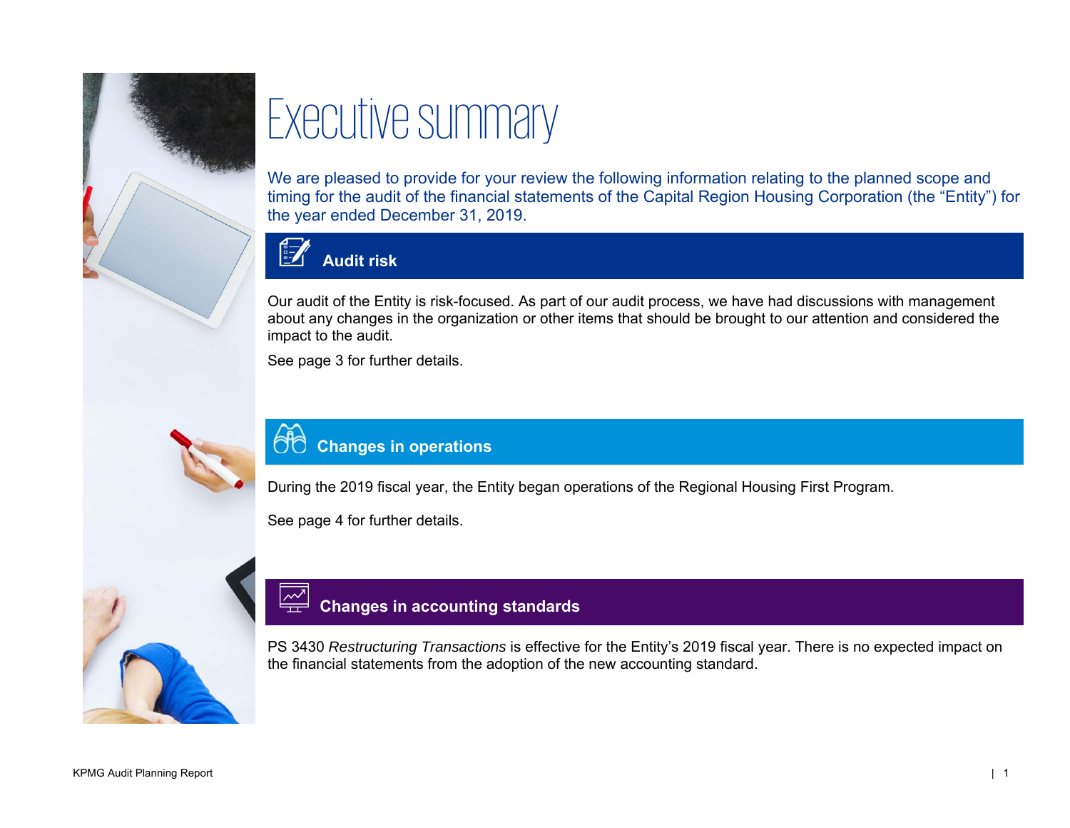

# Executive summary

We are pleased to provide for your review the following information relating to the planned scope and timing for the audit of the financial statements of the Capital Region Housing Corporation (the "Entity") for the year ended December 31, 2019.



### **Audit risk**

Our audit of the Entity is risk-focused. As part of our audit process, we have had discussions with management about any changes in the organization or other items that should be brought to our attention and considered the impact to the audit.

See page 3 for further details.

### **Changes in operations**

During the 2019 fiscal year, the Entity began operations of the Regional Housing First Program.

See page 4 for further details.

### **Changes in accounting standards**

PS 3430 *Restructuring Transactions* is effective for the Entity's 2019 fiscal year. There is no expected impact on the financial statements from the adoption of the new accounting standard.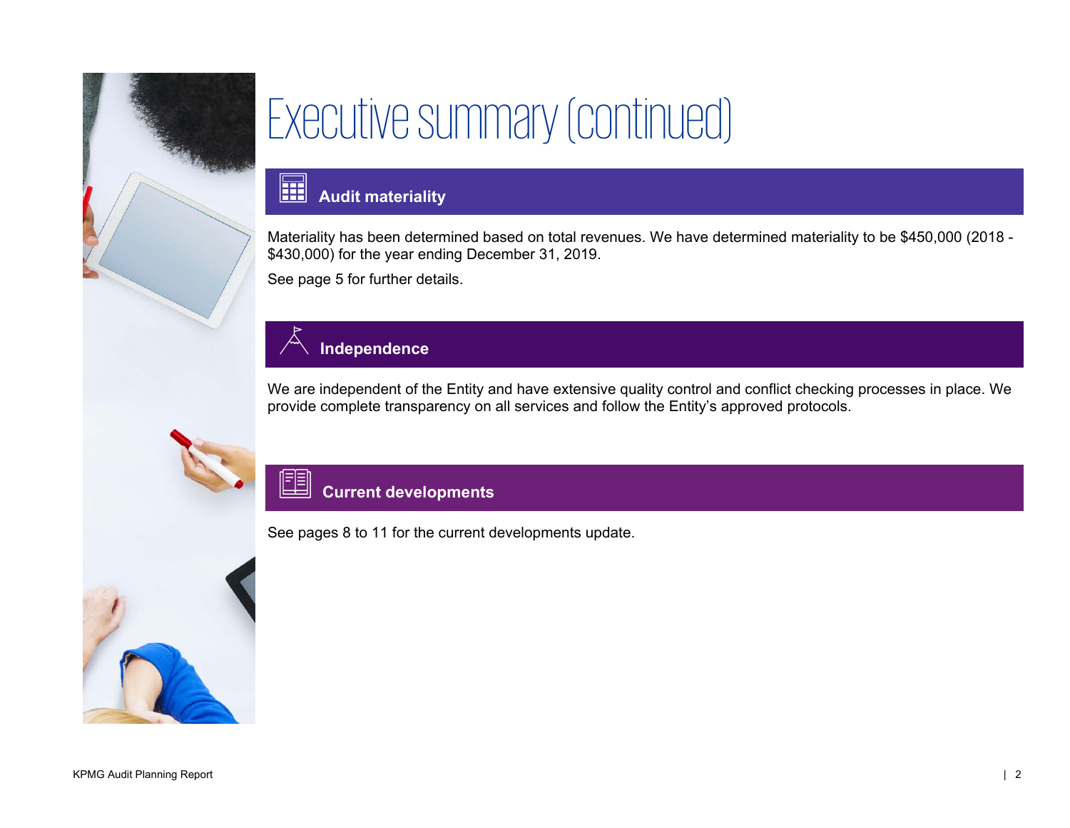

# Executive summary (continued)

#### 圍 **Audit materiality**

Materiality has been determined based on total revenues. We have determined materiality to be \$450,000 (2018 - \$430,000) for the year ending December 31, 2019.

See page 5 for further details.

### **Independence**

We are independent of the Entity and have extensive quality control and conflict checking processes in place. We provide complete transparency on all services and follow the Entity's approved protocols.

### 圍 **Current developments**

See pages 8 to 11 for the current developments update.

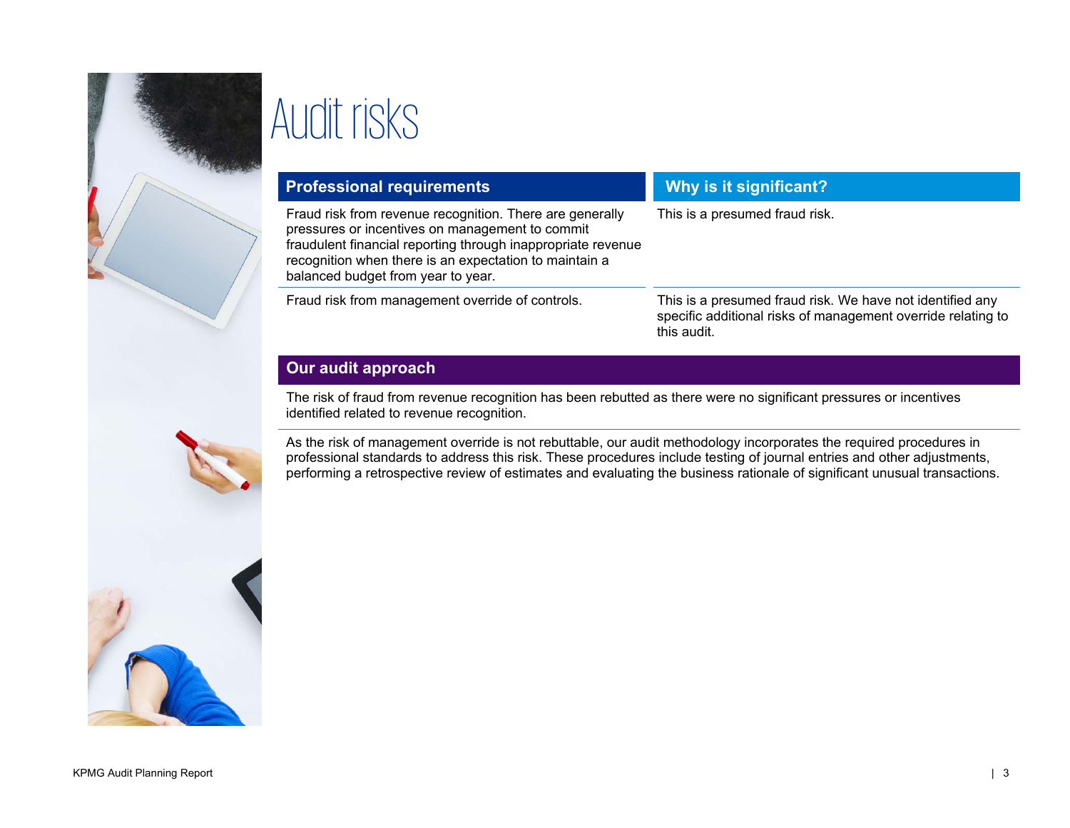

# Audit risks

| <b>Professional requirements</b>                                                                                                                                                                                                                                            | Why is it significant?                                                                                                                   |  |
|-----------------------------------------------------------------------------------------------------------------------------------------------------------------------------------------------------------------------------------------------------------------------------|------------------------------------------------------------------------------------------------------------------------------------------|--|
| Fraud risk from revenue recognition. There are generally<br>pressures or incentives on management to commit<br>fraudulent financial reporting through inappropriate revenue<br>recognition when there is an expectation to maintain a<br>balanced budget from year to year. | This is a presumed fraud risk.                                                                                                           |  |
| Fraud risk from management override of controls.                                                                                                                                                                                                                            | This is a presumed fraud risk. We have not identified any<br>specific additional risks of management override relating to<br>this audit. |  |

### **Our audit approach**

The risk of fraud from revenue recognition has been rebutted as there were no significant pressures or incentives identified related to revenue recognition.

As the risk of management override is not rebuttable, our audit methodology incorporates the required procedures in professional standards to address this risk. These procedures include testing of journal entries and other adjustments, performing a retrospective review of estimates and evaluating the business rationale of significant unusual transactions.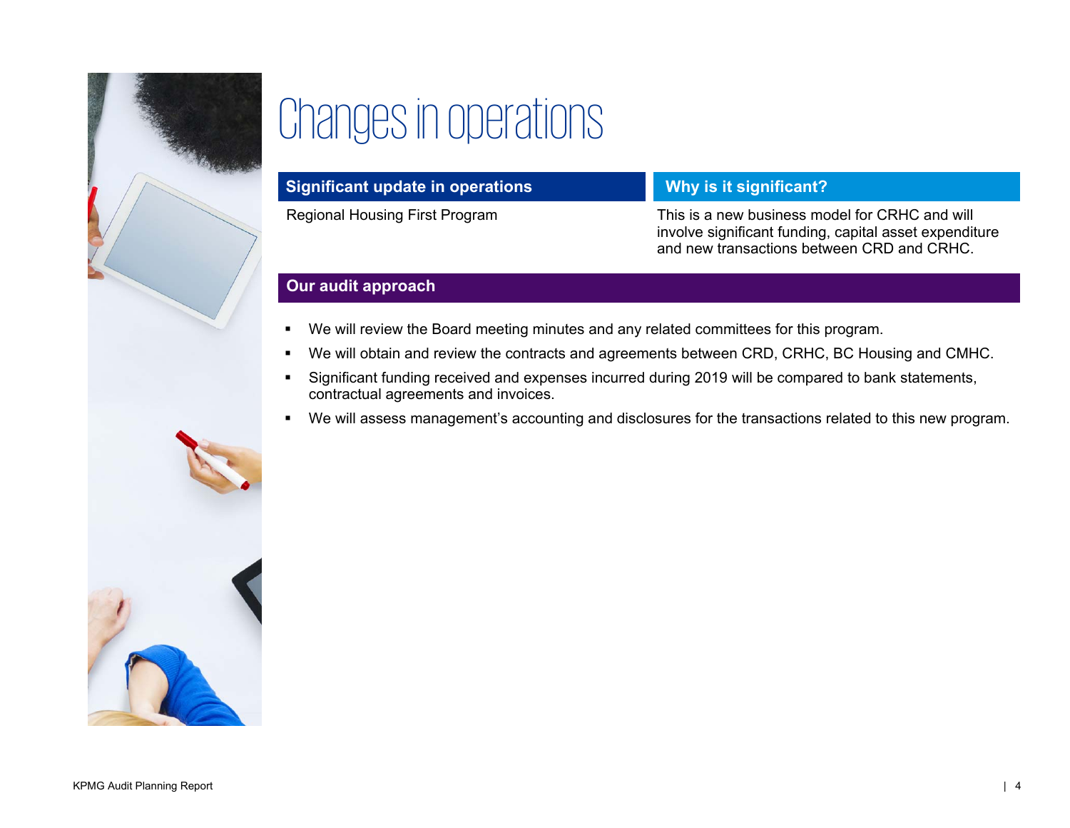

# Changes in operations

| Significant update in operations | Why is it significant?                                                                                                                                 |
|----------------------------------|--------------------------------------------------------------------------------------------------------------------------------------------------------|
| Regional Housing First Program   | This is a new business model for CRHC and will<br>involve significant funding, capital asset expenditure<br>and new transactions between CRD and CRHC. |

### **Our audit approach**

- We will review the Board meeting minutes and any related committees for this program.
- We will obtain and review the contracts and agreements between CRD, CRHC, BC Housing and CMHC.
- Significant funding received and expenses incurred during 2019 will be compared to bank statements, contractual agreements and invoices.
- We will assess management's accounting and disclosures for the transactions related to this new program.

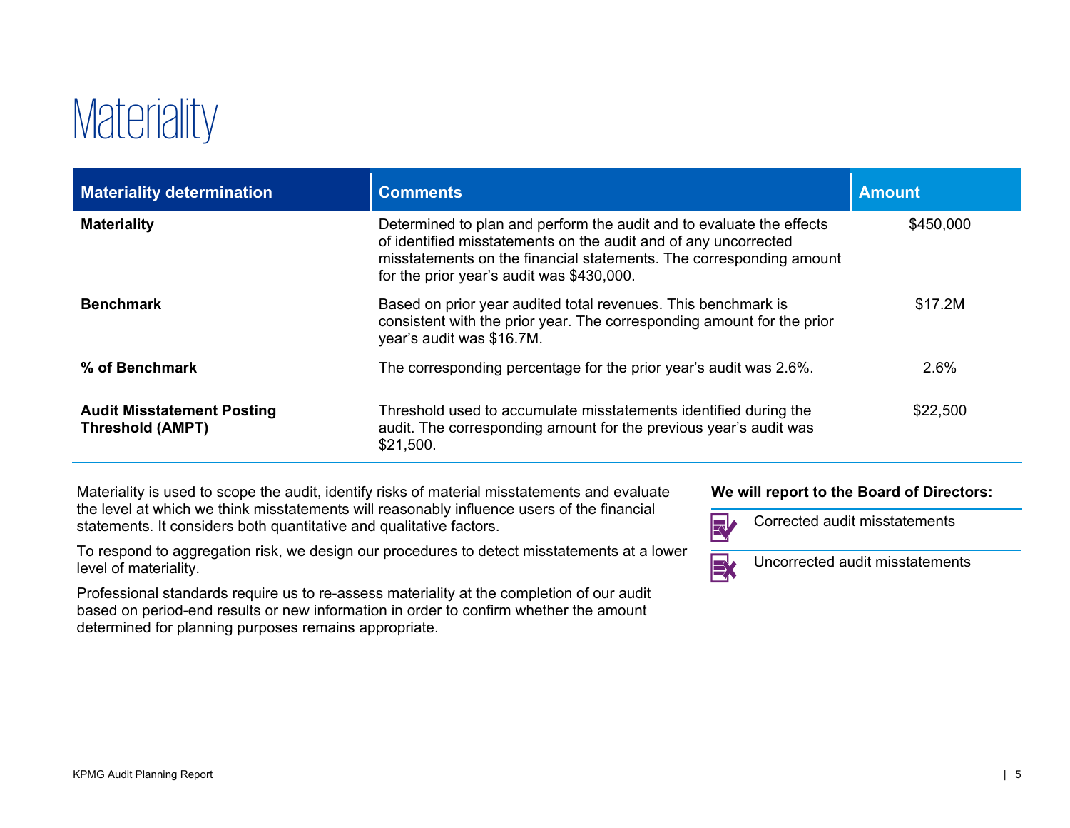## **Materiality**

| <b>Materiality determination</b>                             | <b>Comments</b>                                                                                                                                                                                                                                             | <b>Amount</b> |
|--------------------------------------------------------------|-------------------------------------------------------------------------------------------------------------------------------------------------------------------------------------------------------------------------------------------------------------|---------------|
| <b>Materiality</b>                                           | Determined to plan and perform the audit and to evaluate the effects<br>of identified misstatements on the audit and of any uncorrected<br>misstatements on the financial statements. The corresponding amount<br>for the prior year's audit was \$430,000. | \$450,000     |
| <b>Benchmark</b>                                             | Based on prior year audited total revenues. This benchmark is<br>consistent with the prior year. The corresponding amount for the prior<br>year's audit was \$16.7M.                                                                                        | \$17.2M       |
| % of Benchmark                                               | The corresponding percentage for the prior year's audit was 2.6%.                                                                                                                                                                                           | 2.6%          |
| <b>Audit Misstatement Posting</b><br><b>Threshold (AMPT)</b> | Threshold used to accumulate misstatements identified during the<br>audit. The corresponding amount for the previous year's audit was<br>\$21,500.                                                                                                          | \$22,500      |

Materiality is used to scope the audit, identify risks of material misstatements and evaluate the level at which we think misstatements will reasonably influence users of the financial statements. It considers both quantitative and qualitative factors.

To respond to aggregation risk, we design our procedures to detect misstatements at a lower level of materiality.

Professional standards require us to re-assess materiality at the completion of our audit based on period-end results or new information in order to confirm whether the amount determined for planning purposes remains appropriate.

### **We will report to the Board of Directors:**



Corrected audit misstatements

BY

Uncorrected audit misstatements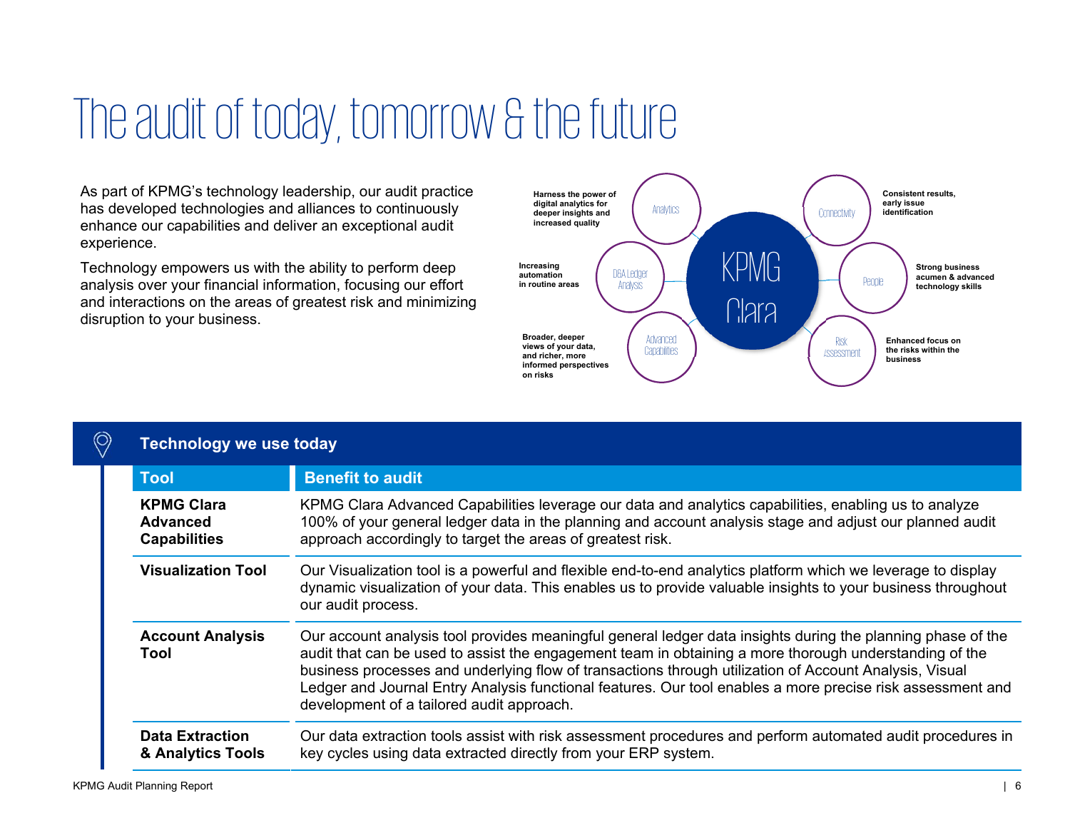### The audit of today, tomorrow & the future

As part of KPMG's technology leadership, our audit practice has developed technologies and alliances to continuously enhance our capabilities and deliver an exceptional audit experience.

Technology empowers us with the ability to perform deep analysis over your financial information, focusing our effort and interactions on the areas of greatest risk and minimizing disruption to your business.



| <b>Technology we use today</b>                              |                                                                                                                                                                                                                                                                                                                                                                                                                                                                                            |
|-------------------------------------------------------------|--------------------------------------------------------------------------------------------------------------------------------------------------------------------------------------------------------------------------------------------------------------------------------------------------------------------------------------------------------------------------------------------------------------------------------------------------------------------------------------------|
| <b>Tool</b>                                                 | <b>Benefit to audit</b>                                                                                                                                                                                                                                                                                                                                                                                                                                                                    |
| <b>KPMG Clara</b><br><b>Advanced</b><br><b>Capabilities</b> | KPMG Clara Advanced Capabilities leverage our data and analytics capabilities, enabling us to analyze<br>100% of your general ledger data in the planning and account analysis stage and adjust our planned audit<br>approach accordingly to target the areas of greatest risk.                                                                                                                                                                                                            |
| <b>Visualization Tool</b>                                   | Our Visualization tool is a powerful and flexible end-to-end analytics platform which we leverage to display<br>dynamic visualization of your data. This enables us to provide valuable insights to your business throughout<br>our audit process.                                                                                                                                                                                                                                         |
| <b>Account Analysis</b><br>Tool                             | Our account analysis tool provides meaningful general ledger data insights during the planning phase of the<br>audit that can be used to assist the engagement team in obtaining a more thorough understanding of the<br>business processes and underlying flow of transactions through utilization of Account Analysis, Visual<br>Ledger and Journal Entry Analysis functional features. Our tool enables a more precise risk assessment and<br>development of a tailored audit approach. |
| <b>Data Extraction</b><br>& Analytics Tools                 | Our data extraction tools assist with risk assessment procedures and perform automated audit procedures in<br>key cycles using data extracted directly from your ERP system.                                                                                                                                                                                                                                                                                                               |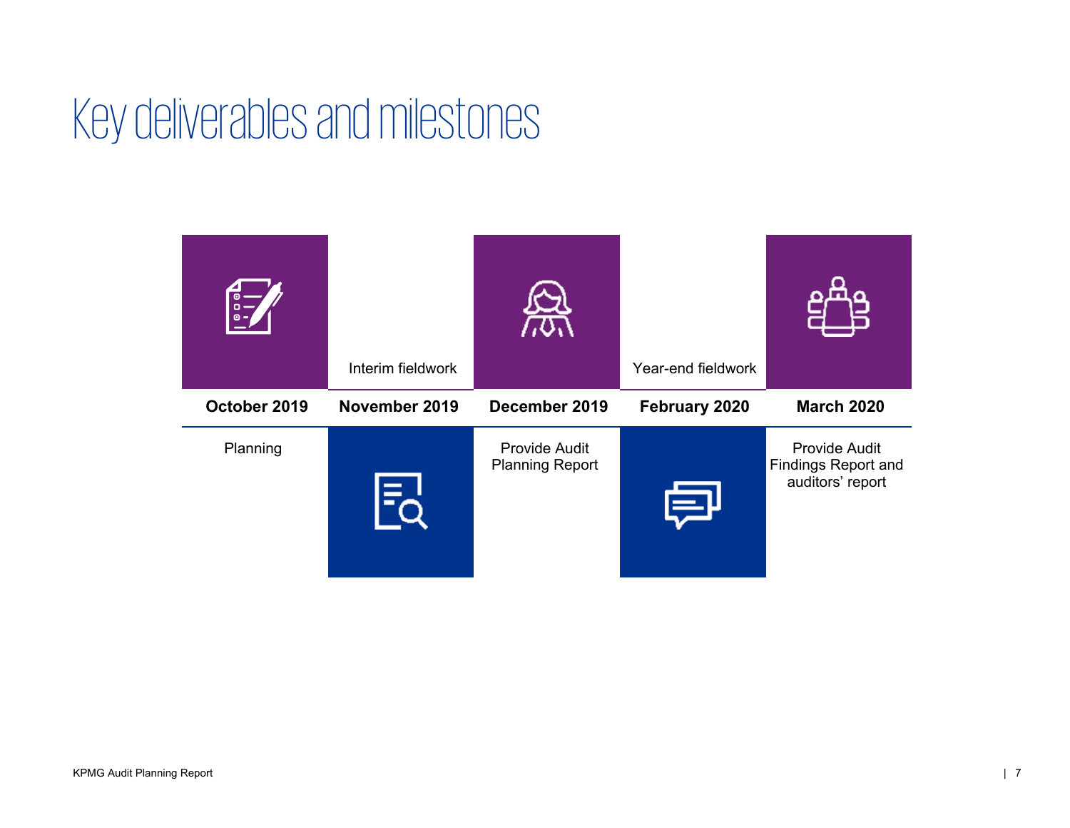### Key deliverables and milestones

| $\frac{1}{\sigma}$<br>$\bullet$ - | Interim fieldwork |                                         | Year-end fieldwork |                                                                        |
|-----------------------------------|-------------------|-----------------------------------------|--------------------|------------------------------------------------------------------------|
| October 2019                      | November 2019     | December 2019                           | February 2020      | <b>March 2020</b>                                                      |
| Planning                          |                   | Provide Audit<br><b>Planning Report</b> |                    | <b>Provide Audit</b><br><b>Findings Report and</b><br>auditors' report |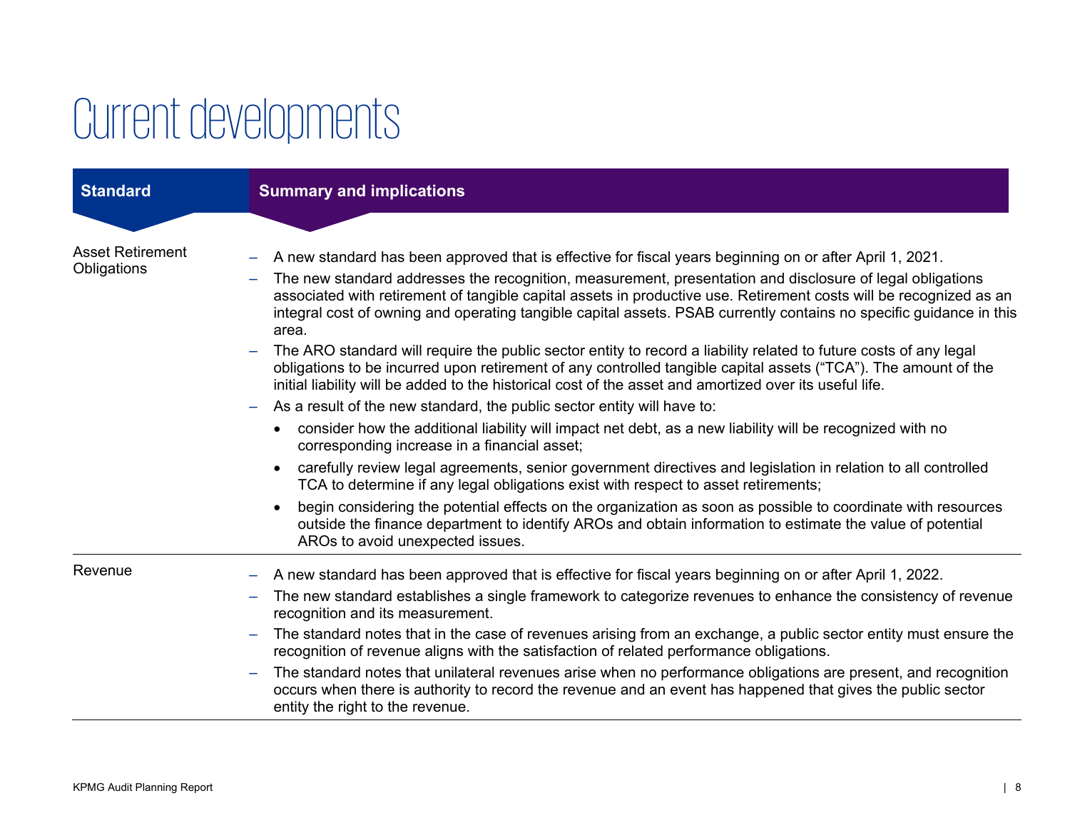# Current developments

| <b>Standard</b>                        | <b>Summary and implications</b>                                                                                                                                                                                                                                                                                                                                                                                                                                                                                                                                                                                                                                                                                                                                                                                                                                                                                                                                                                                                                                                                                                                                                                                                                                                                                                                                                                                                                                                                                                                                                                                   |
|----------------------------------------|-------------------------------------------------------------------------------------------------------------------------------------------------------------------------------------------------------------------------------------------------------------------------------------------------------------------------------------------------------------------------------------------------------------------------------------------------------------------------------------------------------------------------------------------------------------------------------------------------------------------------------------------------------------------------------------------------------------------------------------------------------------------------------------------------------------------------------------------------------------------------------------------------------------------------------------------------------------------------------------------------------------------------------------------------------------------------------------------------------------------------------------------------------------------------------------------------------------------------------------------------------------------------------------------------------------------------------------------------------------------------------------------------------------------------------------------------------------------------------------------------------------------------------------------------------------------------------------------------------------------|
| <b>Asset Retirement</b><br>Obligations | A new standard has been approved that is effective for fiscal years beginning on or after April 1, 2021.<br>The new standard addresses the recognition, measurement, presentation and disclosure of legal obligations<br>associated with retirement of tangible capital assets in productive use. Retirement costs will be recognized as an<br>integral cost of owning and operating tangible capital assets. PSAB currently contains no specific guidance in this<br>area.<br>The ARO standard will require the public sector entity to record a liability related to future costs of any legal<br>obligations to be incurred upon retirement of any controlled tangible capital assets ("TCA"). The amount of the<br>initial liability will be added to the historical cost of the asset and amortized over its useful life.<br>As a result of the new standard, the public sector entity will have to:<br>$\overline{\phantom{m}}$<br>consider how the additional liability will impact net debt, as a new liability will be recognized with no<br>$\bullet$<br>corresponding increase in a financial asset;<br>carefully review legal agreements, senior government directives and legislation in relation to all controlled<br>$\bullet$<br>TCA to determine if any legal obligations exist with respect to asset retirements;<br>begin considering the potential effects on the organization as soon as possible to coordinate with resources<br>$\bullet$<br>outside the finance department to identify AROs and obtain information to estimate the value of potential<br>AROs to avoid unexpected issues. |
| Revenue                                | A new standard has been approved that is effective for fiscal years beginning on or after April 1, 2022.<br>The new standard establishes a single framework to categorize revenues to enhance the consistency of revenue<br>$\overline{\phantom{m}}$<br>recognition and its measurement.<br>The standard notes that in the case of revenues arising from an exchange, a public sector entity must ensure the<br>$\overline{\phantom{m}}$<br>recognition of revenue aligns with the satisfaction of related performance obligations.<br>The standard notes that unilateral revenues arise when no performance obligations are present, and recognition<br>occurs when there is authority to record the revenue and an event has happened that gives the public sector<br>entity the right to the revenue.                                                                                                                                                                                                                                                                                                                                                                                                                                                                                                                                                                                                                                                                                                                                                                                                          |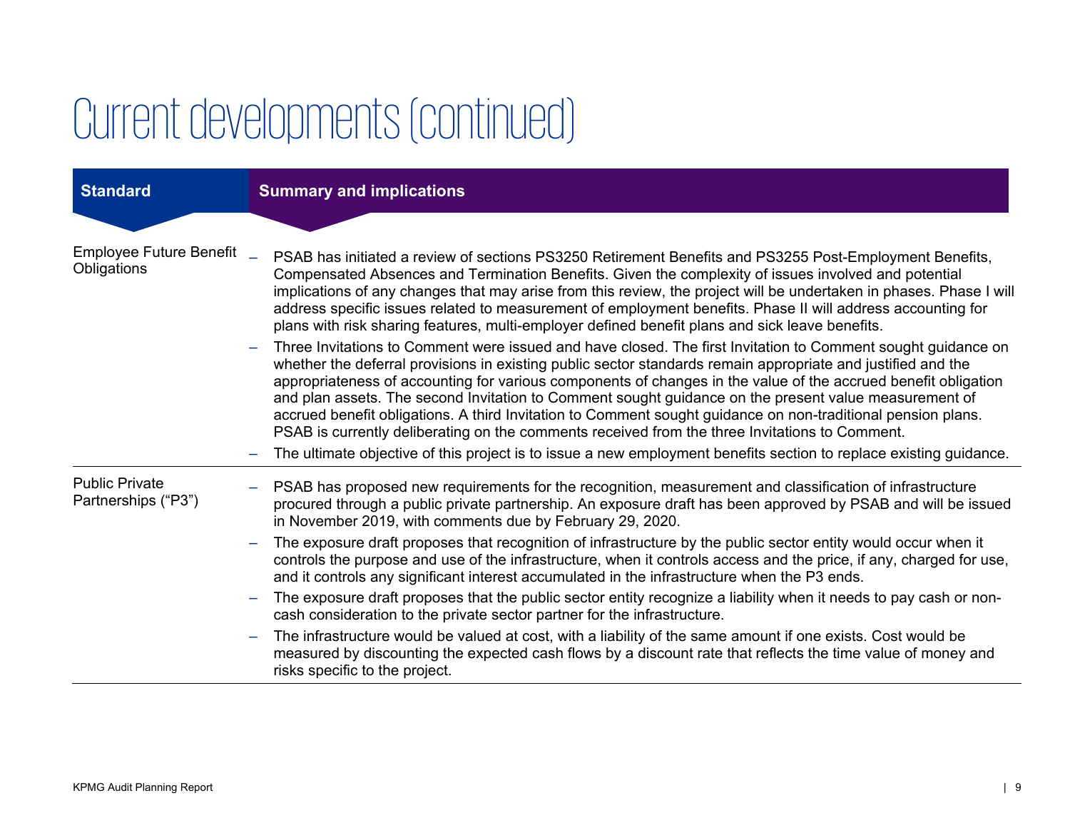# Current developments (continued)

| <b>Standard</b>                              | <b>Summary and implications</b>                                                                                                                                                                                                                                                                                                                                                                                                                                                                                                                                                                                                                                                                                                                                                                                                                                                                                                                                                                                                                                                                                                                                                                                                                                                                                                                             |
|----------------------------------------------|-------------------------------------------------------------------------------------------------------------------------------------------------------------------------------------------------------------------------------------------------------------------------------------------------------------------------------------------------------------------------------------------------------------------------------------------------------------------------------------------------------------------------------------------------------------------------------------------------------------------------------------------------------------------------------------------------------------------------------------------------------------------------------------------------------------------------------------------------------------------------------------------------------------------------------------------------------------------------------------------------------------------------------------------------------------------------------------------------------------------------------------------------------------------------------------------------------------------------------------------------------------------------------------------------------------------------------------------------------------|
|                                              |                                                                                                                                                                                                                                                                                                                                                                                                                                                                                                                                                                                                                                                                                                                                                                                                                                                                                                                                                                                                                                                                                                                                                                                                                                                                                                                                                             |
| Employee Future Benefit _<br>Obligations     | PSAB has initiated a review of sections PS3250 Retirement Benefits and PS3255 Post-Employment Benefits,<br>Compensated Absences and Termination Benefits. Given the complexity of issues involved and potential<br>implications of any changes that may arise from this review, the project will be undertaken in phases. Phase I will<br>address specific issues related to measurement of employment benefits. Phase II will address accounting for<br>plans with risk sharing features, multi-employer defined benefit plans and sick leave benefits.<br>Three Invitations to Comment were issued and have closed. The first Invitation to Comment sought guidance on<br>whether the deferral provisions in existing public sector standards remain appropriate and justified and the<br>appropriateness of accounting for various components of changes in the value of the accrued benefit obligation<br>and plan assets. The second Invitation to Comment sought guidance on the present value measurement of<br>accrued benefit obligations. A third Invitation to Comment sought guidance on non-traditional pension plans.<br>PSAB is currently deliberating on the comments received from the three Invitations to Comment.<br>The ultimate objective of this project is to issue a new employment benefits section to replace existing guidance. |
| <b>Public Private</b><br>Partnerships ("P3") | PSAB has proposed new requirements for the recognition, measurement and classification of infrastructure<br>procured through a public private partnership. An exposure draft has been approved by PSAB and will be issued<br>in November 2019, with comments due by February 29, 2020.<br>The exposure draft proposes that recognition of infrastructure by the public sector entity would occur when it                                                                                                                                                                                                                                                                                                                                                                                                                                                                                                                                                                                                                                                                                                                                                                                                                                                                                                                                                    |
|                                              | controls the purpose and use of the infrastructure, when it controls access and the price, if any, charged for use,<br>and it controls any significant interest accumulated in the infrastructure when the P3 ends.                                                                                                                                                                                                                                                                                                                                                                                                                                                                                                                                                                                                                                                                                                                                                                                                                                                                                                                                                                                                                                                                                                                                         |
|                                              | The exposure draft proposes that the public sector entity recognize a liability when it needs to pay cash or non-<br>cash consideration to the private sector partner for the infrastructure.                                                                                                                                                                                                                                                                                                                                                                                                                                                                                                                                                                                                                                                                                                                                                                                                                                                                                                                                                                                                                                                                                                                                                               |
|                                              | The infrastructure would be valued at cost, with a liability of the same amount if one exists. Cost would be<br>measured by discounting the expected cash flows by a discount rate that reflects the time value of money and<br>risks specific to the project.                                                                                                                                                                                                                                                                                                                                                                                                                                                                                                                                                                                                                                                                                                                                                                                                                                                                                                                                                                                                                                                                                              |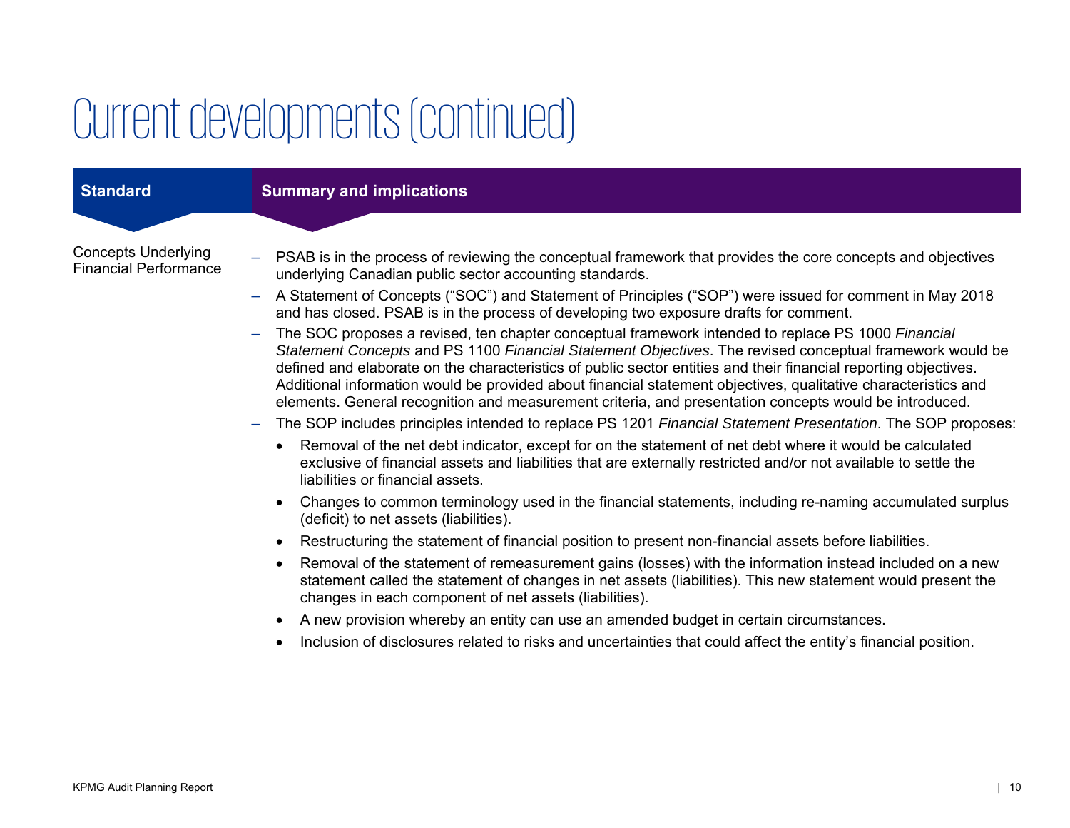## Current developments (continued)

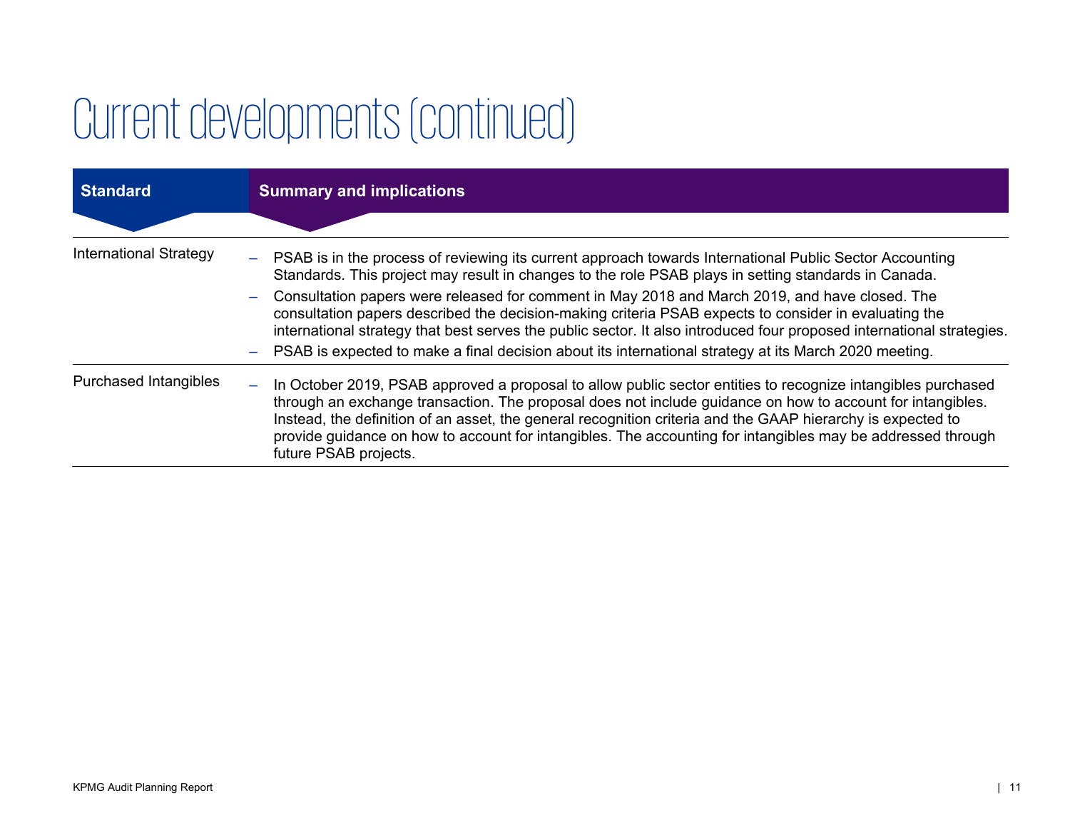# Current developments (continued)

| <b>Standard</b>               | <b>Summary and implications</b>                                                                                                                                                                                                                                                                                                                                                                                                                                                                               |
|-------------------------------|---------------------------------------------------------------------------------------------------------------------------------------------------------------------------------------------------------------------------------------------------------------------------------------------------------------------------------------------------------------------------------------------------------------------------------------------------------------------------------------------------------------|
|                               |                                                                                                                                                                                                                                                                                                                                                                                                                                                                                                               |
| <b>International Strategy</b> | - PSAB is in the process of reviewing its current approach towards International Public Sector Accounting<br>Standards. This project may result in changes to the role PSAB plays in setting standards in Canada.                                                                                                                                                                                                                                                                                             |
|                               | Consultation papers were released for comment in May 2018 and March 2019, and have closed. The<br>consultation papers described the decision-making criteria PSAB expects to consider in evaluating the<br>international strategy that best serves the public sector. It also introduced four proposed international strategies.                                                                                                                                                                              |
|                               | PSAB is expected to make a final decision about its international strategy at its March 2020 meeting.                                                                                                                                                                                                                                                                                                                                                                                                         |
| <b>Purchased Intangibles</b>  | In October 2019, PSAB approved a proposal to allow public sector entities to recognize intangibles purchased<br>$\overline{\phantom{m}}$<br>through an exchange transaction. The proposal does not include guidance on how to account for intangibles.<br>Instead, the definition of an asset, the general recognition criteria and the GAAP hierarchy is expected to<br>provide guidance on how to account for intangibles. The accounting for intangibles may be addressed through<br>future PSAB projects. |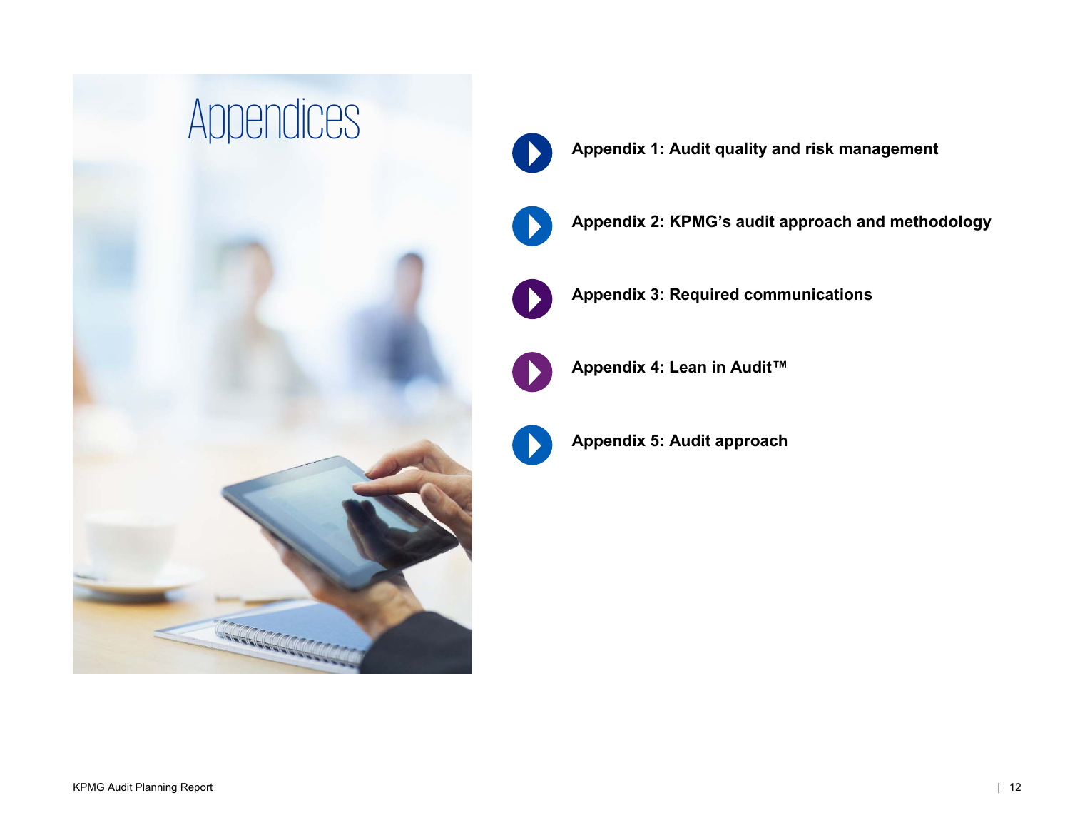



**Appendix 2: KPMG's audit approach and methodology** 



**Appendix 3: Required communications** 



**Appendix 4: Lean in Audit™** 



**Appendix 5: Audit approach**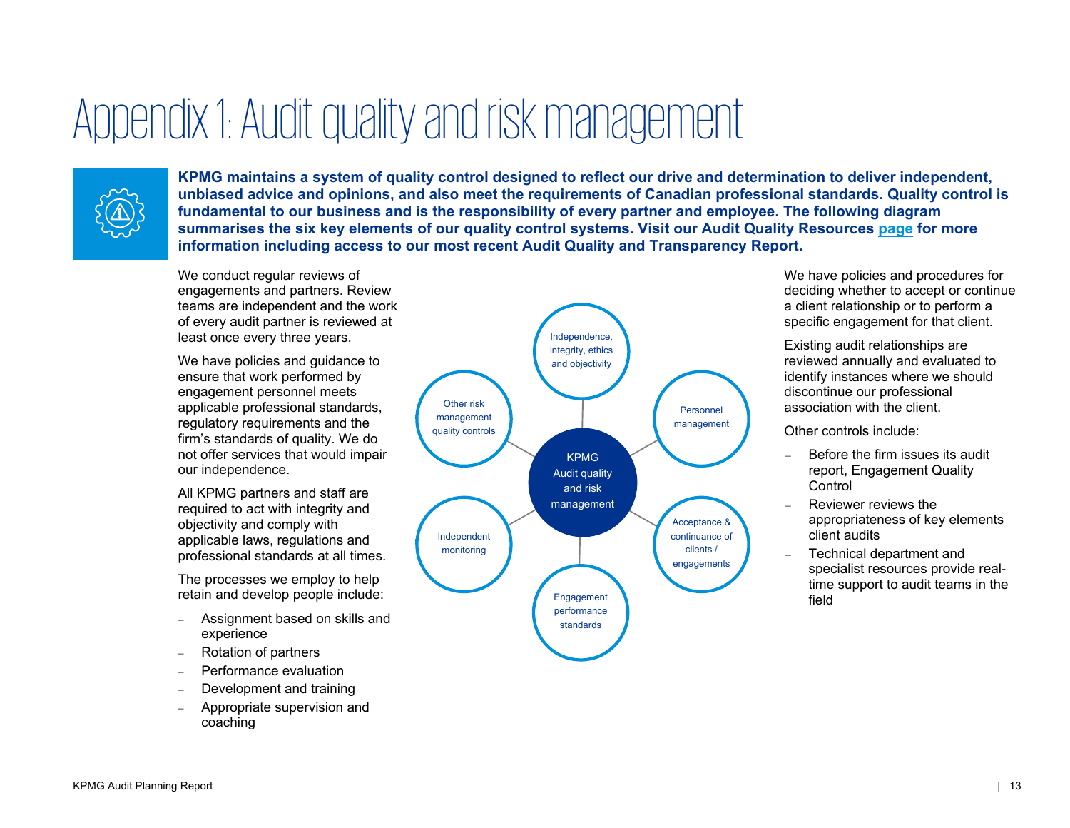### Appendix 1: Audit quality and risk management



**KPMG maintains a system of quality control designed to reflect our drive and determination to deliver independent, unbiased advice and opinions, and also meet the requirements of Canadian professional standards. Quality control is fundamental to our business and is the responsibility of every partner and employee. The following diagram summarises the six key elements of our quality control systems. Visit our Audit Quality Resources page for more information including access to our most recent Audit Quality and Transparency Report.**

We conduct regular reviews of engagements and partners. Review teams are independent and the work of every audit partner is reviewed at least once every three years.

We have policies and guidance to ensure that work performed by engagement personnel meets applicable professional standards, regulatory requirements and the firm's standards of quality. We do not offer services that would impair our independence.

All KPMG partners and staff are required to act with integrity and objectivity and comply with applicable laws, regulations and professional standards at all times.

The processes we employ to help retain and develop people include:

- $\overline{\phantom{0}}$  Assignment based on skills and experience
- Rotation of partners
- Performance evaluation
- Development and training
- Appropriate supervision and coaching



We have policies and procedures for deciding whether to accept or continue a client relationship or to perform a specific engagement for that client.

Existing audit relationships are reviewed annually and evaluated to identify instances where we should discontinue our professional association with the client.

Other controls include:

- Before the firm issues its audit report, Engagement Quality **Control**
- Reviewer reviews the appropriateness of key elements client audits
- = Technical department and specialist resources provide realtime support to audit teams in the field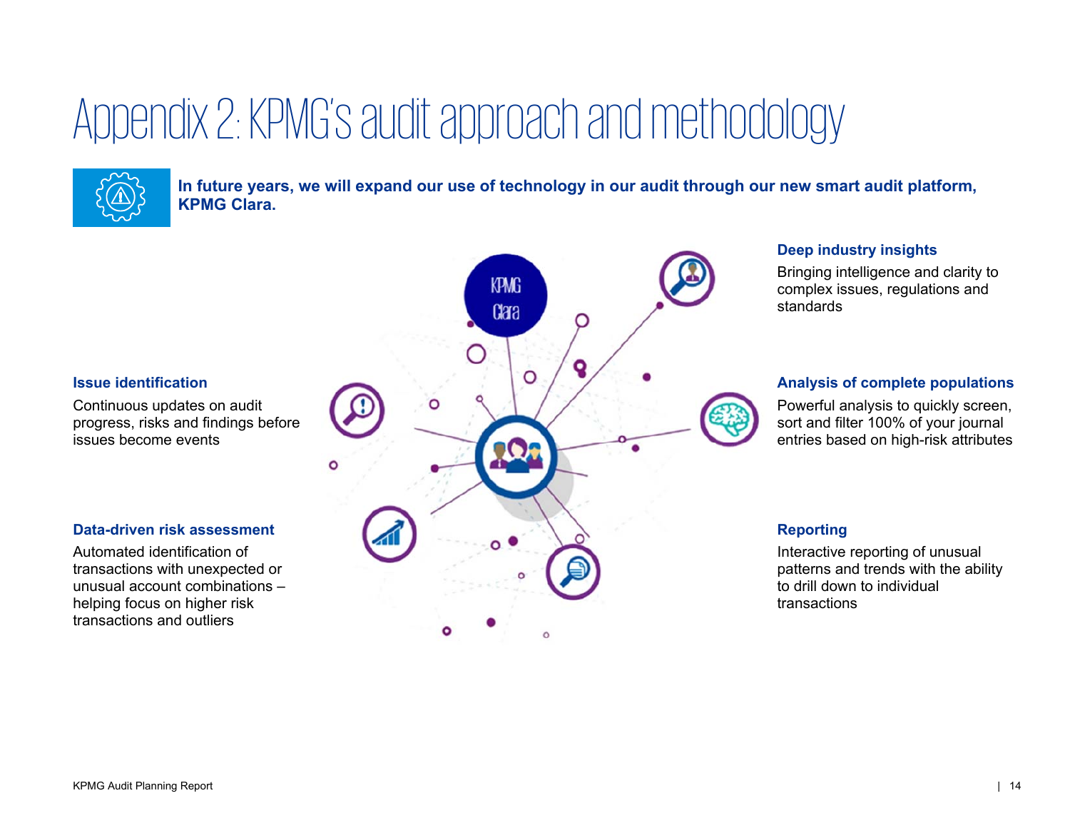# Appendix 2: KPMG's audit approach and methodology



**In future years, we will expand our use of technology in our audit through our new smart audit platform, KPMG Clara.**

### **Issue identification**

Continuous updates on audit progress, risks and findings before issues become events

### **Data-driven risk assessment**

Automated identification of transactions with unexpected or unusual account combinations – helping focus on higher risk transactions and outliers



### **Deep industry insights**

Bringing intelligence and clarity to complex issues, regulations and standards

### **Analysis of complete populations**

Powerful analysis to quickly screen, sort and filter 100% of your journal entries based on high-risk attributes

### **Reporting**

Interactive reporting of unusual patterns and trends with the ability to drill down to individual transactions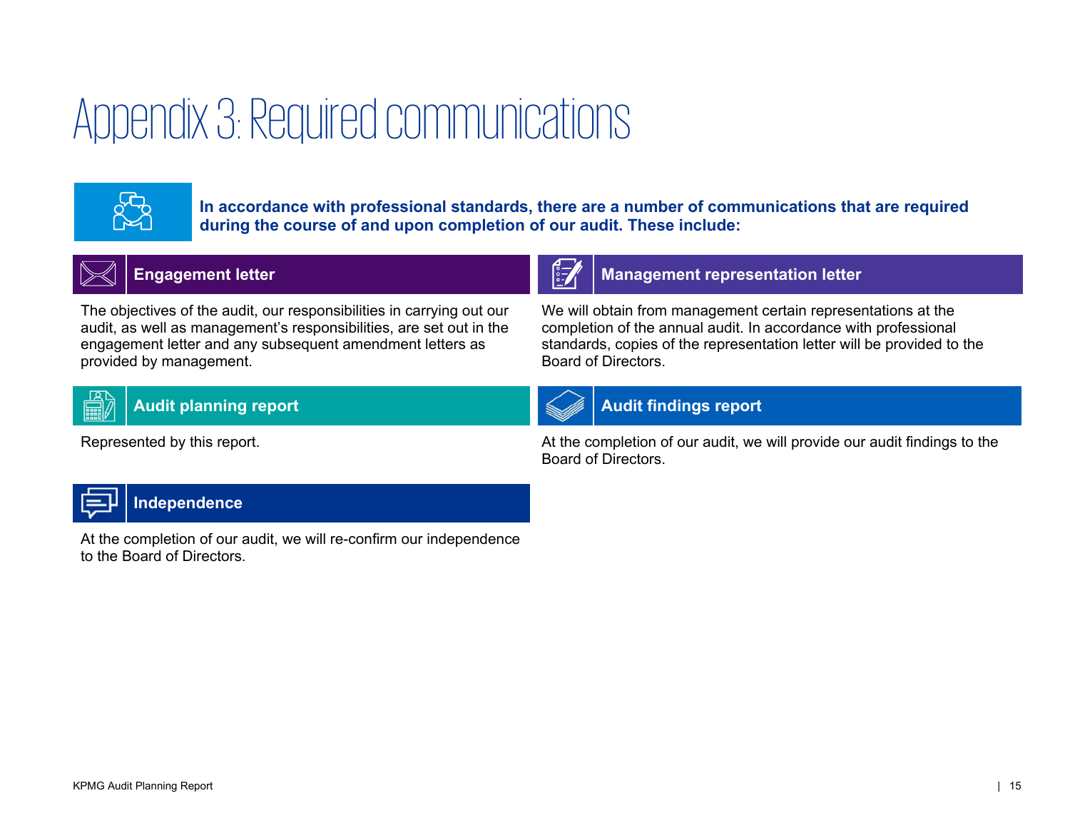# Appendix 3: Required communications



**In accordance with professional standards, there are a number of communications that are required during the course of and upon completion of our audit. These include:**



### **Engagement letter Management letter Management representation letter**

The objectives of the audit, our responsibilities in carrying out our audit, as well as management's responsibilities, are set out in the engagement letter and any subsequent amendment letters as provided by management.



### Audit planning report **Audit findings report** Audit findings report



Board of Directors.

Represented by this report. At the completion of our audit, we will provide our audit findings to the Board of Directors.

We will obtain from management certain representations at the completion of the annual audit. In accordance with professional standards, copies of the representation letter will be provided to the



### **Independence**

At the completion of our audit, we will re-confirm our independence to the Board of Directors.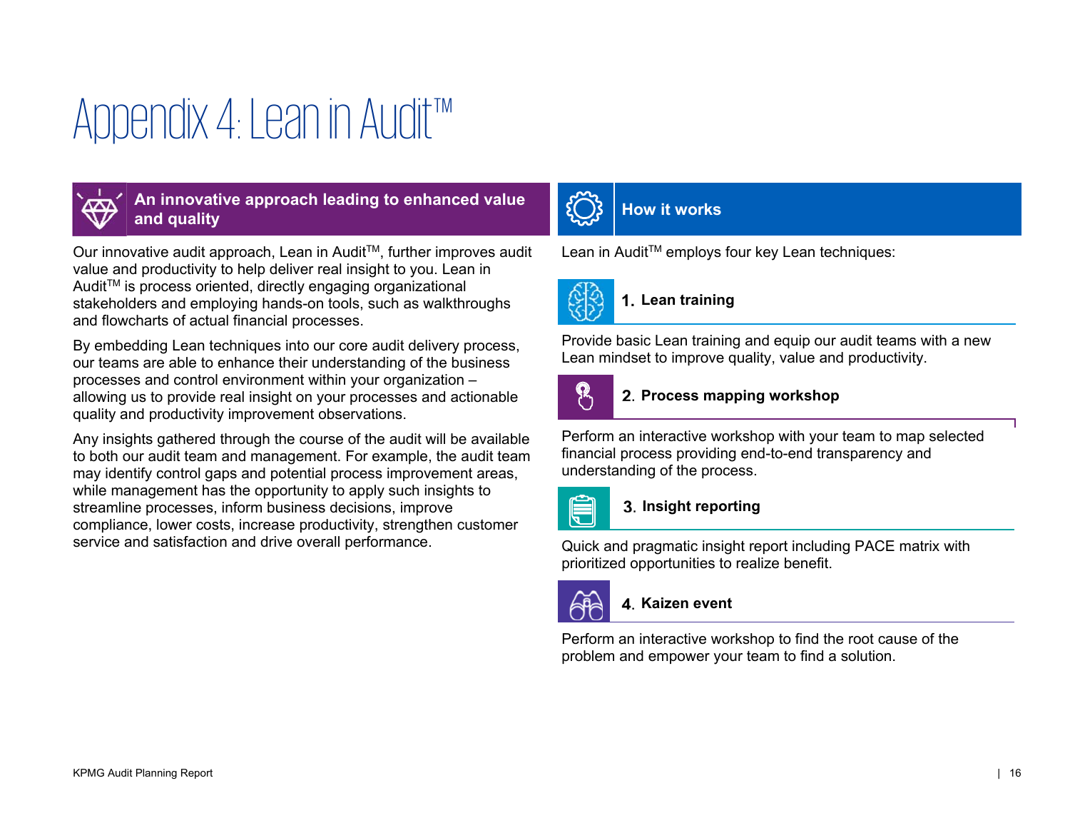# Appendix 4: Lean in Audit™



An innovative approach leading to enhanced value <br>and quality

Our innovative audit approach, Lean in Audit™, further improves audit value and productivity to help deliver real insight to you. Lean in Audit<sup>™</sup> is process oriented, directly engaging organizational stakeholders and employing hands-on tools, such as walkthroughs and flowcharts of actual financial processes.

By embedding Lean techniques into our core audit delivery process, our teams are able to enhance their understanding of the business processes and control environment within your organization – allowing us to provide real insight on your processes and actionable quality and productivity improvement observations.

Any insights gathered through the course of the audit will be available to both our audit team and management. For example, the audit team may identify control gaps and potential process improvement areas, while management has the opportunity to apply such insights to streamline processes, inform business decisions, improve compliance, lower costs, increase productivity, strengthen customer service and satisfaction and drive overall performance.



Lean in Audit™ employs four key Lean techniques:



### **Lean training**

Provide basic Lean training and equip our audit teams with a new Lean mindset to improve quality, value and productivity.



### **Process mapping workshop**

Perform an interactive workshop with your team to map selected financial process providing end-to-end transparency and understanding of the process.



### **Insight reporting**

Quick and pragmatic insight report including PACE matrix with prioritized opportunities to realize benefit.



### **Kaizen event**

Perform an interactive workshop to find the root cause of the problem and empower your team to find a solution.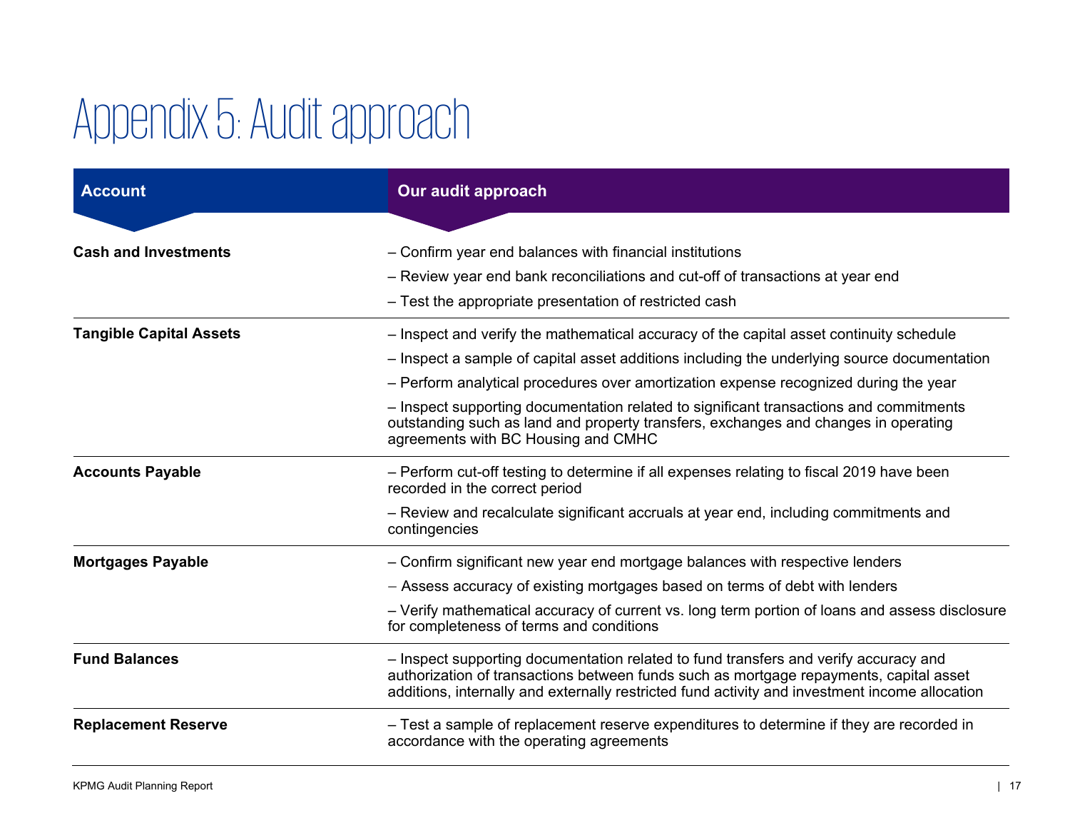# Appendix 5: Audit approach

| <b>Account</b>                 | Our audit approach                                                                                                                                                                                                                                                               |
|--------------------------------|----------------------------------------------------------------------------------------------------------------------------------------------------------------------------------------------------------------------------------------------------------------------------------|
|                                |                                                                                                                                                                                                                                                                                  |
| <b>Cash and Investments</b>    | - Confirm year end balances with financial institutions                                                                                                                                                                                                                          |
|                                | - Review year end bank reconciliations and cut-off of transactions at year end                                                                                                                                                                                                   |
|                                | - Test the appropriate presentation of restricted cash                                                                                                                                                                                                                           |
| <b>Tangible Capital Assets</b> | - Inspect and verify the mathematical accuracy of the capital asset continuity schedule                                                                                                                                                                                          |
|                                | - Inspect a sample of capital asset additions including the underlying source documentation                                                                                                                                                                                      |
|                                | - Perform analytical procedures over amortization expense recognized during the year                                                                                                                                                                                             |
|                                | - Inspect supporting documentation related to significant transactions and commitments<br>outstanding such as land and property transfers, exchanges and changes in operating<br>agreements with BC Housing and CMHC                                                             |
| <b>Accounts Payable</b>        | - Perform cut-off testing to determine if all expenses relating to fiscal 2019 have been<br>recorded in the correct period                                                                                                                                                       |
|                                | - Review and recalculate significant accruals at year end, including commitments and<br>contingencies                                                                                                                                                                            |
| <b>Mortgages Payable</b>       | - Confirm significant new year end mortgage balances with respective lenders                                                                                                                                                                                                     |
|                                | - Assess accuracy of existing mortgages based on terms of debt with lenders                                                                                                                                                                                                      |
|                                | - Verify mathematical accuracy of current vs. long term portion of loans and assess disclosure<br>for completeness of terms and conditions                                                                                                                                       |
| <b>Fund Balances</b>           | - Inspect supporting documentation related to fund transfers and verify accuracy and<br>authorization of transactions between funds such as mortgage repayments, capital asset<br>additions, internally and externally restricted fund activity and investment income allocation |
| <b>Replacement Reserve</b>     | - Test a sample of replacement reserve expenditures to determine if they are recorded in<br>accordance with the operating agreements                                                                                                                                             |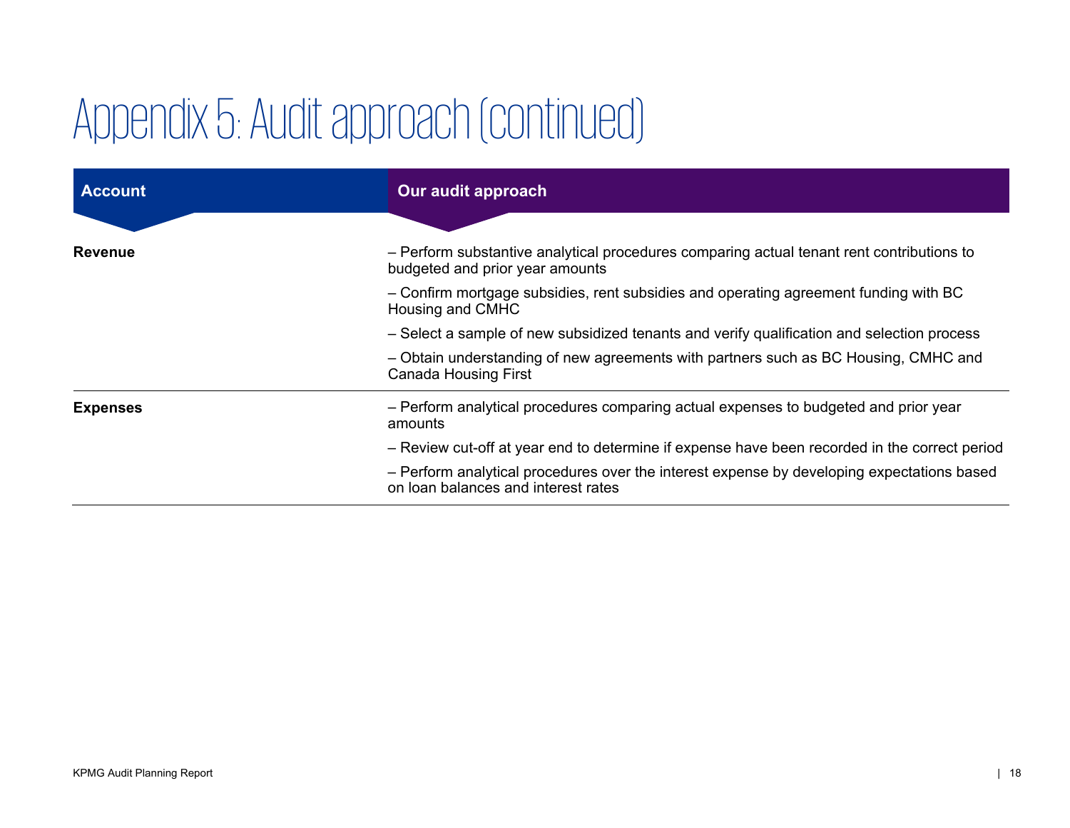# Appendix 5: Audit approach (continued)

| <b>Account</b>  | Our audit approach                                                                                                                |
|-----------------|-----------------------------------------------------------------------------------------------------------------------------------|
|                 |                                                                                                                                   |
| <b>Revenue</b>  | - Perform substantive analytical procedures comparing actual tenant rent contributions to<br>budgeted and prior year amounts      |
|                 | - Confirm mortgage subsidies, rent subsidies and operating agreement funding with BC<br>Housing and CMHC                          |
|                 | - Select a sample of new subsidized tenants and verify qualification and selection process                                        |
|                 | - Obtain understanding of new agreements with partners such as BC Housing, CMHC and<br><b>Canada Housing First</b>                |
| <b>Expenses</b> | - Perform analytical procedures comparing actual expenses to budgeted and prior year<br>amounts                                   |
|                 | - Review cut-off at year end to determine if expense have been recorded in the correct period                                     |
|                 | - Perform analytical procedures over the interest expense by developing expectations based<br>on loan balances and interest rates |